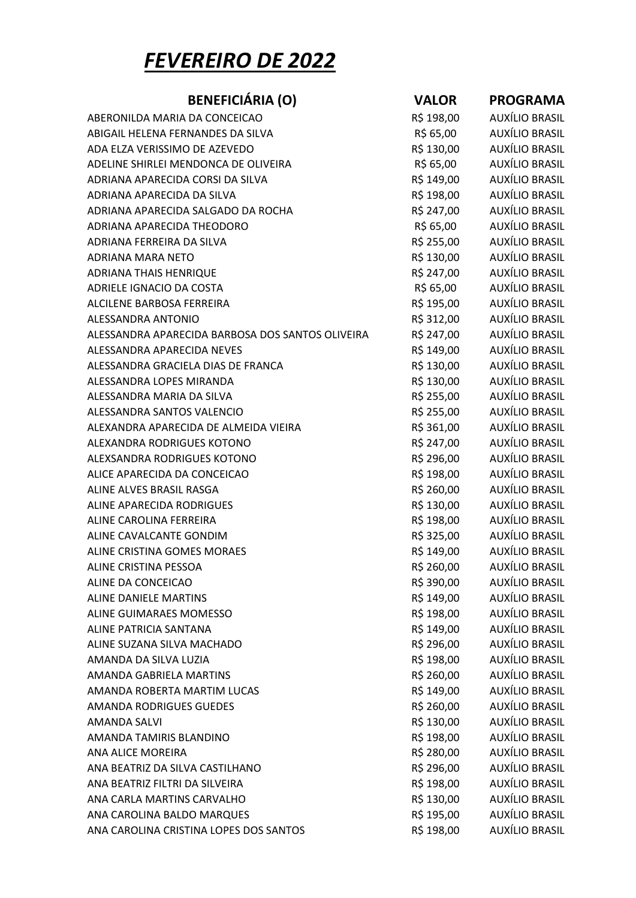## FEVEREIRO DE 2022

| <b>BENEFICIÁRIA (O)</b>                          | <b>VALOR</b> | <b>PROGRAMA</b>       |
|--------------------------------------------------|--------------|-----------------------|
| ABERONILDA MARIA DA CONCEICAO                    | R\$ 198,00   | AUXÍLIO BRASIL        |
| ABIGAIL HELENA FERNANDES DA SILVA                | R\$ 65,00    | <b>AUXÍLIO BRASIL</b> |
| ADA ELZA VERISSIMO DE AZEVEDO                    | R\$ 130,00   | <b>AUXÍLIO BRASIL</b> |
| ADELINE SHIRLEI MENDONCA DE OLIVEIRA             | R\$ 65,00    | AUXÍLIO BRASIL        |
| ADRIANA APARECIDA CORSI DA SILVA                 | R\$ 149,00   | AUXÍLIO BRASIL        |
| ADRIANA APARECIDA DA SILVA                       | R\$ 198,00   | AUXÍLIO BRASIL        |
| ADRIANA APARECIDA SALGADO DA ROCHA               | R\$ 247,00   | <b>AUXÍLIO BRASIL</b> |
| ADRIANA APARECIDA THEODORO                       | R\$ 65,00    | AUXÍLIO BRASIL        |
| ADRIANA FERREIRA DA SILVA                        | R\$ 255,00   | AUXÍLIO BRASIL        |
| ADRIANA MARA NETO                                | R\$ 130,00   | AUXÍLIO BRASIL        |
| <b>ADRIANA THAIS HENRIQUE</b>                    | R\$ 247,00   | AUXÍLIO BRASIL        |
| ADRIELE IGNACIO DA COSTA                         | R\$ 65,00    | AUXÍLIO BRASIL        |
| ALCILENE BARBOSA FERREIRA                        | R\$ 195,00   | AUXÍLIO BRASIL        |
| ALESSANDRA ANTONIO                               | R\$ 312,00   | AUXÍLIO BRASIL        |
| ALESSANDRA APARECIDA BARBOSA DOS SANTOS OLIVEIRA | R\$ 247,00   | AUXÍLIO BRASIL        |
| ALESSANDRA APARECIDA NEVES                       | R\$ 149,00   | AUXÍLIO BRASIL        |
| ALESSANDRA GRACIELA DIAS DE FRANCA               | R\$ 130,00   | AUXÍLIO BRASIL        |
| ALESSANDRA LOPES MIRANDA                         | R\$ 130,00   | AUXÍLIO BRASIL        |
| ALESSANDRA MARIA DA SILVA                        | R\$ 255,00   | <b>AUXÍLIO BRASIL</b> |
| ALESSANDRA SANTOS VALENCIO                       | R\$ 255,00   | AUXÍLIO BRASIL        |
| ALEXANDRA APARECIDA DE ALMEIDA VIEIRA            | R\$ 361,00   | <b>AUXÍLIO BRASIL</b> |
| ALEXANDRA RODRIGUES KOTONO                       | R\$ 247,00   | AUXÍLIO BRASIL        |
| ALEXSANDRA RODRIGUES KOTONO                      | R\$ 296,00   | AUXÍLIO BRASIL        |
| ALICE APARECIDA DA CONCEICAO                     | R\$ 198,00   | AUXÍLIO BRASIL        |
| ALINE ALVES BRASIL RASGA                         | R\$ 260,00   | <b>AUXÍLIO BRASIL</b> |
| ALINE APARECIDA RODRIGUES                        | R\$ 130,00   | <b>AUXÍLIO BRASIL</b> |
| ALINE CAROLINA FERREIRA                          | R\$ 198,00   | AUXÍLIO BRASIL        |
| ALINE CAVALCANTE GONDIM                          | R\$ 325,00   | AUXÍLIO BRASIL        |
| ALINE CRISTINA GOMES MORAES                      | R\$ 149,00   | AUXÍLIO BRASIL        |
| ALINE CRISTINA PESSOA                            | R\$ 260,00   | AUXÍLIO BRASIL        |
| ALINE DA CONCEICAO                               | R\$ 390,00   | AUXÍLIO BRASIL        |
| <b>ALINE DANIELE MARTINS</b>                     | R\$ 149,00   | <b>AUXÍLIO BRASIL</b> |
| ALINE GUIMARAES MOMESSO                          | R\$ 198,00   | <b>AUXÍLIO BRASIL</b> |
| ALINE PATRICIA SANTANA                           | R\$ 149,00   | <b>AUXÍLIO BRASIL</b> |
| ALINE SUZANA SILVA MACHADO                       | R\$ 296,00   | AUXÍLIO BRASIL        |
| AMANDA DA SILVA LUZIA                            | R\$ 198,00   | <b>AUXÍLIO BRASIL</b> |
| <b>AMANDA GABRIELA MARTINS</b>                   | R\$ 260,00   | <b>AUXÍLIO BRASIL</b> |
| AMANDA ROBERTA MARTIM LUCAS                      | R\$ 149,00   | <b>AUXÍLIO BRASIL</b> |
| <b>AMANDA RODRIGUES GUEDES</b>                   | R\$ 260,00   | <b>AUXÍLIO BRASIL</b> |
| <b>AMANDA SALVI</b>                              | R\$ 130,00   | AUXÍLIO BRASIL        |
| AMANDA TAMIRIS BLANDINO                          | R\$ 198,00   | <b>AUXÍLIO BRASIL</b> |
| <b>ANA ALICE MOREIRA</b>                         | R\$ 280,00   | <b>AUXÍLIO BRASIL</b> |
| ANA BEATRIZ DA SILVA CASTILHANO                  | R\$ 296,00   | AUXÍLIO BRASIL        |
| ANA BEATRIZ FILTRI DA SILVEIRA                   | R\$ 198,00   | <b>AUXÍLIO BRASIL</b> |
| ANA CARLA MARTINS CARVALHO                       | R\$ 130,00   | <b>AUXÍLIO BRASIL</b> |
| ANA CAROLINA BALDO MARQUES                       | R\$ 195,00   | <b>AUXÍLIO BRASIL</b> |
| ANA CAROLINA CRISTINA LOPES DOS SANTOS           | R\$ 198,00   | <b>AUXÍLIO BRASIL</b> |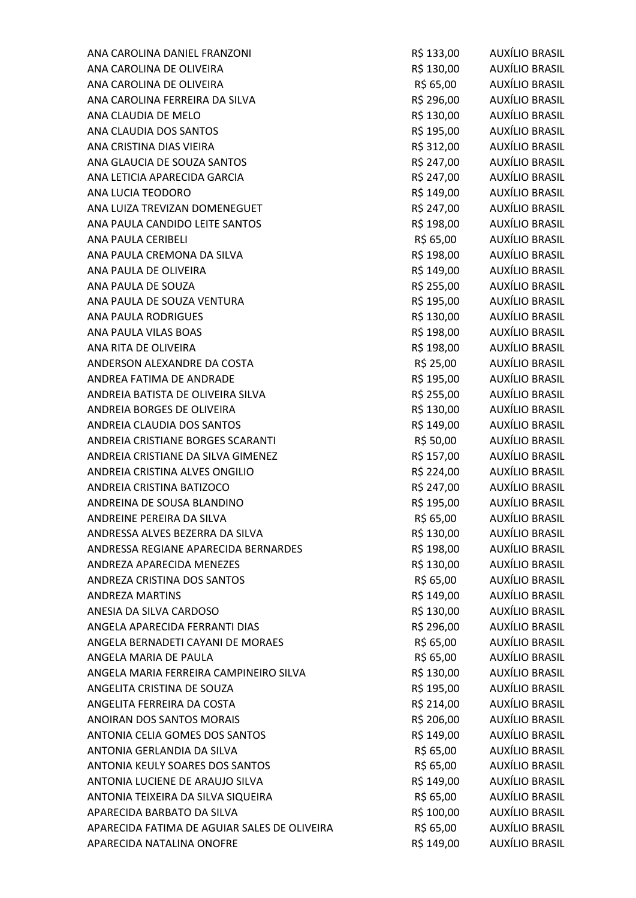ANA CAROLINA DANIEL FRANZONI R\$ 133,00 AUXÍLIO BRASIL ANA CAROLINA DE OLIVEIRA R\$ 130,00 AUXÍLIO BRASIL ANA CAROLINA DE OLIVEIRA R\$ 65,00 AUXÍLIO BRASIL ANA CAROLINA FERREIRA DA SILVA CAROLINA ESTE EN AREA EN AREA EN AREA EN AREA EN AREA EN ARASIL ANA CLAUDIA DE MELO R\$ 130,00 AUXÍLIO BRASIL ANA CLAUDIA DOS SANTOS R\$ 195,00 AUXÍLIO BRASIL ANA CRISTINA DIAS VIEIRA REPORTED ANNO 1992, ANNO 2008 AUXÍLIO BRASIL ANA GLAUCIA DE SOUZA SANTOS R\$ 247,00 AUXÍLIO BRASIL ANA LETICIA APARECIDA GARCIA CONSIDERED E RESERVADO AUXÍLIO BRASIL ANA LUCIA TEODORO R\$ 149,00 AUXÍLIO BRASIL ANA LUIZA TREVIZAN DOMENEGUET FREDRIGHED RS 247,00 AUXÍLIO BRASIL ANA PAULA CANDIDO LEITE SANTOS R\$ 198,00 AUXÍLIO BRASIL ANA PAULA CERIBELI R\$ 65,00 AUXÍLIO BRASIL ANA PAULA CREMONA DA SILVA RESIDENTE E ANA PAULA CREMONA DA SILVA ANA PAULA DE OLIVEIRA DE RESTANDA EN ENFERANCIA EN ENFERASIONAL EN EL ENTRE EN ENFERASIONALE EN EL ENTRE EN EN ANA PAULA DE SOUZA DE SOUZA ESTE EN ENSEMBRASIL EN ENSEMBRASILES EN ENSEMBRASILES EN ENSEMBRASILES EN ENSEMBRASIL ANA PAULA DE SOUZA VENTURA ANA ESTADO EN AREA EN ENTREGADO EN AUXÍLIO BRASIL ANA PAULA RODRIGUES R\$ 130,00 AUXÍLIO BRASIL ANA PAULA VILAS BOAS R\$ 198,00 AUXÍLIO BRASIL ANA RITA DE OLIVEIRA R\$ 198,00 AUXÍLIO BRASIL ANDERSON ALEXANDRE DA COSTA R\$ 25,00 AUXÍLIO BRASIL ANDREA FATIMA DE ANDRADE **AUXÍLIO BRASIL** R\$ 195,00 AUXÍLIO BRASIL ANDREIA BATISTA DE OLIVEIRA SILVA RESERIA EN SEGUIDO DE AUXÍLIO BRASIL ANDREIA BORGES DE OLIVEIRA **REGISTE E EN ENGLIS E AUXÍLIO BRASIL** ANDREIA CLAUDIA DOS SANTOS R\$ 149,00 AUXÍLIO BRASIL ANDREIA CRISTIANE BORGES SCARANTI R\$ 50,00 AUXÍLIO BRASIL ANDREIA CRISTIANE DA SILVA GIMENEZ FREDRESS EN RESISTADO AUXÍLIO BRASIL ANDREIA CRISTINA ALVES ONGILIO R\$ 224,00 AUXÍLIO BRASIL ANDREIA CRISTINA BATIZOCO R\$ 247,00 AUXÍLIO BRASIL ANDREINA DE SOUSA BLANDINO R\$ 195,00 AUXÍLIO BRASIL ANDREINE PEREIRA DA SILVA CONTRASSER EN ENTRE EN ENTRE EN ENTRE EN ENTRE EN ENTRE EN ENTRE EN ENTRE EN ENTRE E ANDRESSA ALVES BEZERRA DA SILVA CONTRASSER EN ENGLACIO DE AUXÍLIO BRASIL ANDRESSA REGIANE APARECIDA BERNARDES **R\$ 198,00** AUXÍLIO BRASIL ANDREZA APARECIDA MENEZES **AUXÍLIO BRASIL** R\$ 130,00 AUXÍLIO BRASIL ANDREZA CRISTINA DOS SANTOS R\$ 65,00 AUXÍLIO BRASIL ANDREZA MARTINS R\$ 149,00 AUXÍLIO BRASIL ANESIA DA SILVA CARDOSO ANAS EN ANGLESIA DA SILVA CARDOSO AUXÍLIO BRASIL ANGELA APARECIDA FERRANTI DIAS 6 (296,00 AUXÍLIO BRASIL ANGELA BERNADETI CAYANI DE MORAES **R\$ 65,00** AUXÍLIO BRASIL ANGELA MARIA DE PAULA R\$ 65,00 AUXÍLIO BRASIL ANGELA MARIA FERREIRA CAMPINEIRO SILVA RS 130,00 AUXÍLIO BRASIL ANGELITA CRISTINA DE SOUZA R\$ 195,00 AUXÍLIO BRASIL ANGELITA FERREIRA DA COSTA COSTA DE EN ENSEMBLE A RESERVADO AUXÍLIO BRASIL ANOIRAN DOS SANTOS MORAIS **External anois en Executor AUXÍLIO BRASIL** ANTONIA CELIA GOMES DOS SANTOS **AUXÍLIO BRASIL** R\$ 149,00 AUXÍLIO BRASIL ANTONIA GERLANDIA DA SILVA CONTRASSIDO DE REGIONES EN SURFASILADA EN ENTRAÑA EN ARASIL ANTONIA KEULY SOARES DOS SANTOS R\$ 65,00 AUXÍLIO BRASIL ANTONIA LUCIENE DE ARAUJO SILVA **R\$ 149,00** AUXÍLIO BRASIL ANTONIA TEIXEIRA DA SILVA SIQUEIRA **R\$ 65,00** AUXÍLIO BRASIL APARECIDA BARBATO DA SILVA CONSEGUIDA EN SURFECIDA BARBATO DA SILVA APARECIDA FATIMA DE AGUIAR SALES DE OLIVEIRA R\$ 65,00 AUXÍLIO BRASIL APARECIDA NATALINA ONOFRE R\$ 149,00 AUXÍLIO BRASIL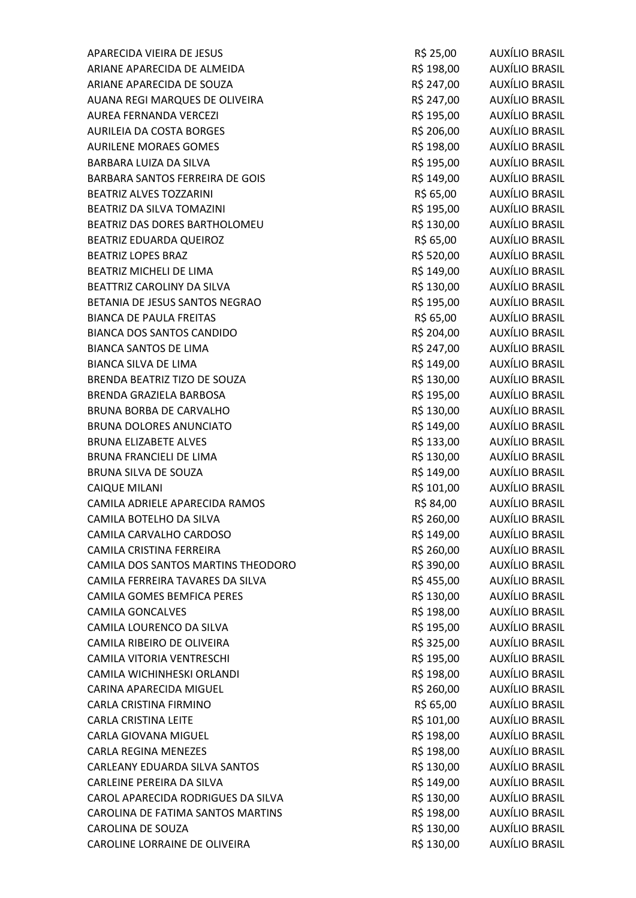| APARECIDA VIEIRA DE JESUS          | R\$ 25,00  | AUXÍLIO BRASIL        |
|------------------------------------|------------|-----------------------|
| ARIANE APARECIDA DE ALMEIDA        | R\$ 198,00 | AUXÍLIO BRASIL        |
| ARIANE APARECIDA DE SOUZA          | R\$ 247,00 | AUXÍLIO BRASIL        |
| AUANA REGI MARQUES DE OLIVEIRA     | R\$ 247,00 | AUXÍLIO BRASIL        |
| AUREA FERNANDA VERCEZI             | R\$ 195,00 | <b>AUXÍLIO BRASIL</b> |
| AURILEIA DA COSTA BORGES           | R\$ 206,00 | AUXÍLIO BRASIL        |
| <b>AURILENE MORAES GOMES</b>       | R\$ 198,00 | AUXÍLIO BRASIL        |
| <b>BARBARA LUIZA DA SILVA</b>      | R\$ 195,00 | AUXÍLIO BRASIL        |
| BARBARA SANTOS FERREIRA DE GOIS    | R\$ 149,00 | <b>AUXÍLIO BRASIL</b> |
| <b>BEATRIZ ALVES TOZZARINI</b>     | R\$ 65,00  | AUXÍLIO BRASIL        |
| BEATRIZ DA SILVA TOMAZINI          | R\$ 195,00 | AUXÍLIO BRASIL        |
| BEATRIZ DAS DORES BARTHOLOMEU      | R\$ 130,00 | AUXÍLIO BRASIL        |
| BEATRIZ EDUARDA QUEIROZ            | R\$ 65,00  | AUXÍLIO BRASIL        |
| <b>BEATRIZ LOPES BRAZ</b>          | R\$ 520,00 | AUXÍLIO BRASIL        |
| <b>BEATRIZ MICHELI DE LIMA</b>     | R\$ 149,00 | <b>AUXÍLIO BRASIL</b> |
| BEATTRIZ CAROLINY DA SILVA         | R\$ 130,00 | <b>AUXÍLIO BRASIL</b> |
| BETANIA DE JESUS SANTOS NEGRAO     | R\$ 195,00 | AUXÍLIO BRASIL        |
| <b>BIANCA DE PAULA FREITAS</b>     | R\$ 65,00  | AUXÍLIO BRASIL        |
| <b>BIANCA DOS SANTOS CANDIDO</b>   | R\$ 204,00 | <b>AUXÍLIO BRASIL</b> |
| <b>BIANCA SANTOS DE LIMA</b>       | R\$ 247,00 | <b>AUXÍLIO BRASIL</b> |
| <b>BIANCA SILVA DE LIMA</b>        | R\$ 149,00 | AUXÍLIO BRASIL        |
| BRENDA BEATRIZ TIZO DE SOUZA       | R\$ 130,00 | AUXÍLIO BRASIL        |
| BRENDA GRAZIELA BARBOSA            | R\$ 195,00 | <b>AUXÍLIO BRASIL</b> |
| <b>BRUNA BORBA DE CARVALHO</b>     | R\$ 130,00 | <b>AUXÍLIO BRASIL</b> |
| BRUNA DOLORES ANUNCIATO            | R\$ 149,00 | AUXÍLIO BRASIL        |
| <b>BRUNA ELIZABETE ALVES</b>       | R\$ 133,00 | AUXÍLIO BRASIL        |
| <b>BRUNA FRANCIELI DE LIMA</b>     | R\$ 130,00 | AUXÍLIO BRASIL        |
| BRUNA SILVA DE SOUZA               | R\$ 149,00 | AUXÍLIO BRASIL        |
| <b>CAIQUE MILANI</b>               | R\$ 101,00 | <b>AUXÍLIO BRASIL</b> |
| CAMILA ADRIELE APARECIDA RAMOS     | R\$ 84,00  | AUXÍLIO BRASIL        |
| CAMILA BOTELHO DA SILVA            | R\$ 260,00 | <b>AUXÍLIO BRASIL</b> |
| CAMILA CARVALHO CARDOSO            | R\$ 149,00 | AUXÍLIO BRASIL        |
| CAMILA CRISTINA FERREIRA           | R\$ 260,00 | AUXÍLIO BRASIL        |
| CAMILA DOS SANTOS MARTINS THEODORO | R\$ 390,00 | <b>AUXÍLIO BRASIL</b> |
| CAMILA FERREIRA TAVARES DA SILVA   | R\$455,00  | <b>AUXÍLIO BRASIL</b> |
| CAMILA GOMES BEMFICA PERES         | R\$ 130,00 | <b>AUXÍLIO BRASIL</b> |
| <b>CAMILA GONCALVES</b>            | R\$ 198,00 | <b>AUXÍLIO BRASIL</b> |
| CAMILA LOURENCO DA SILVA           | R\$ 195,00 | <b>AUXÍLIO BRASIL</b> |
| CAMILA RIBEIRO DE OLIVEIRA         | R\$ 325,00 | <b>AUXÍLIO BRASIL</b> |
| CAMILA VITORIA VENTRESCHI          | R\$ 195,00 | AUXÍLIO BRASIL        |
| CAMILA WICHINHESKI ORLANDI         | R\$ 198,00 | <b>AUXÍLIO BRASIL</b> |
| CARINA APARECIDA MIGUEL            | R\$ 260,00 | <b>AUXÍLIO BRASIL</b> |
| CARLA CRISTINA FIRMINO             | R\$ 65,00  | AUXÍLIO BRASIL        |
| <b>CARLA CRISTINA LEITE</b>        | R\$ 101,00 | <b>AUXÍLIO BRASIL</b> |
| <b>CARLA GIOVANA MIGUEL</b>        | R\$ 198,00 | <b>AUXÍLIO BRASIL</b> |
| <b>CARLA REGINA MENEZES</b>        | R\$ 198,00 | <b>AUXÍLIO BRASIL</b> |
| CARLEANY EDUARDA SILVA SANTOS      | R\$ 130,00 | AUXÍLIO BRASIL        |
| CARLEINE PEREIRA DA SILVA          | R\$ 149,00 | <b>AUXÍLIO BRASIL</b> |
| CAROL APARECIDA RODRIGUES DA SILVA | R\$ 130,00 | <b>AUXÍLIO BRASIL</b> |
| CAROLINA DE FATIMA SANTOS MARTINS  | R\$ 198,00 | <b>AUXÍLIO BRASIL</b> |
| <b>CAROLINA DE SOUZA</b>           | R\$ 130,00 | <b>AUXÍLIO BRASIL</b> |
| CAROLINE LORRAINE DE OLIVEIRA      | R\$ 130,00 | AUXÍLIO BRASIL        |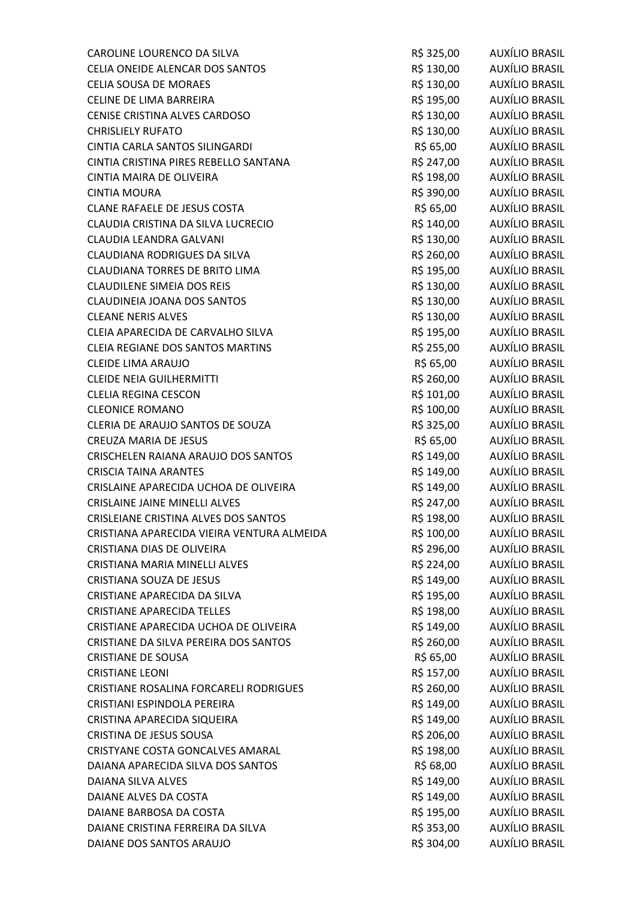| CAROLINE LOURENCO DA SILVA                 | R\$ 325,00 | AUXÍLIO BRASIL        |
|--------------------------------------------|------------|-----------------------|
| CELIA ONEIDE ALENCAR DOS SANTOS            | R\$ 130,00 | AUXÍLIO BRASIL        |
| <b>CELIA SOUSA DE MORAES</b>               | R\$ 130,00 | AUXÍLIO BRASIL        |
| CELINE DE LIMA BARREIRA                    | R\$ 195,00 | AUXÍLIO BRASIL        |
| CENISE CRISTINA ALVES CARDOSO              | R\$ 130,00 | AUXÍLIO BRASIL        |
| <b>CHRISLIELY RUFATO</b>                   | R\$ 130,00 | AUXÍLIO BRASIL        |
| CINTIA CARLA SANTOS SILINGARDI             | R\$ 65,00  | AUXÍLIO BRASIL        |
| CINTIA CRISTINA PIRES REBELLO SANTANA      | R\$ 247,00 | <b>AUXÍLIO BRASIL</b> |
| CINTIA MAIRA DE OLIVEIRA                   | R\$ 198,00 | <b>AUXÍLIO BRASIL</b> |
| <b>CINTIA MOURA</b>                        | R\$ 390,00 | <b>AUXÍLIO BRASIL</b> |
| CLANE RAFAELE DE JESUS COSTA               | R\$ 65,00  | AUXÍLIO BRASIL        |
| CLAUDIA CRISTINA DA SILVA LUCRECIO         | R\$ 140,00 | AUXÍLIO BRASIL        |
| CLAUDIA LEANDRA GALVANI                    | R\$ 130,00 | AUXÍLIO BRASIL        |
| CLAUDIANA RODRIGUES DA SILVA               | R\$ 260,00 | <b>AUXÍLIO BRASIL</b> |
| <b>CLAUDIANA TORRES DE BRITO LIMA</b>      | R\$ 195,00 | AUXÍLIO BRASIL        |
| <b>CLAUDILENE SIMEIA DOS REIS</b>          | R\$ 130,00 | AUXÍLIO BRASIL        |
| CLAUDINEIA JOANA DOS SANTOS                | R\$ 130,00 | AUXÍLIO BRASIL        |
| <b>CLEANE NERIS ALVES</b>                  | R\$ 130,00 | AUXÍLIO BRASIL        |
| CLEIA APARECIDA DE CARVALHO SILVA          | R\$ 195,00 | <b>AUXÍLIO BRASIL</b> |
| CLEIA REGIANE DOS SANTOS MARTINS           | R\$ 255,00 | AUXÍLIO BRASIL        |
| CLEIDE LIMA ARAUJO                         | R\$ 65,00  | AUXÍLIO BRASIL        |
| <b>CLEIDE NEIA GUILHERMITTI</b>            | R\$ 260,00 | AUXÍLIO BRASIL        |
| <b>CLELIA REGINA CESCON</b>                | R\$ 101,00 | AUXÍLIO BRASIL        |
| <b>CLEONICE ROMANO</b>                     | R\$ 100,00 | <b>AUXÍLIO BRASIL</b> |
| CLERIA DE ARAUJO SANTOS DE SOUZA           | R\$ 325,00 | AUXÍLIO BRASIL        |
| <b>CREUZA MARIA DE JESUS</b>               | R\$ 65,00  | AUXÍLIO BRASIL        |
| CRISCHELEN RAIANA ARAUJO DOS SANTOS        | R\$ 149,00 | AUXÍLIO BRASIL        |
| <b>CRISCIA TAINA ARANTES</b>               | R\$ 149,00 | <b>AUXÍLIO BRASIL</b> |
| CRISLAINE APARECIDA UCHOA DE OLIVEIRA      | R\$ 149,00 | AUXÍLIO BRASIL        |
| <b>CRISLAINE JAINE MINELLI ALVES</b>       | R\$ 247,00 | AUXÍLIO BRASIL        |
| CRISLEIANE CRISTINA ALVES DOS SANTOS       | R\$ 198,00 | <b>AUXÍLIO BRASIL</b> |
| CRISTIANA APARECIDA VIEIRA VENTURA ALMEIDA | R\$ 100,00 | AUXÍLIO BRASIL        |
| CRISTIANA DIAS DE OLIVEIRA                 | R\$ 296,00 | <b>AUXÍLIO BRASIL</b> |
| CRISTIANA MARIA MINELLI ALVES              | R\$ 224,00 | AUXÍLIO BRASIL        |
| CRISTIANA SOUZA DE JESUS                   | R\$ 149,00 | <b>AUXÍLIO BRASIL</b> |
| CRISTIANE APARECIDA DA SILVA               | R\$ 195,00 | AUXÍLIO BRASIL        |
| <b>CRISTIANE APARECIDA TELLES</b>          | R\$ 198,00 | AUXÍLIO BRASIL        |
| CRISTIANE APARECIDA UCHOA DE OLIVEIRA      | R\$ 149,00 | AUXÍLIO BRASIL        |
| CRISTIANE DA SILVA PEREIRA DOS SANTOS      | R\$ 260,00 | AUXÍLIO BRASIL        |
| <b>CRISTIANE DE SOUSA</b>                  | R\$ 65,00  | <b>AUXÍLIO BRASIL</b> |
| <b>CRISTIANE LEONI</b>                     | R\$ 157,00 | AUXÍLIO BRASIL        |
| CRISTIANE ROSALINA FORCARELI RODRIGUES     | R\$ 260,00 | <b>AUXÍLIO BRASIL</b> |
| CRISTIANI ESPINDOLA PEREIRA                | R\$ 149,00 | AUXÍLIO BRASIL        |
| CRISTINA APARECIDA SIQUEIRA                | R\$ 149,00 | AUXÍLIO BRASIL        |
| CRISTINA DE JESUS SOUSA                    | R\$ 206,00 | <b>AUXÍLIO BRASIL</b> |
| CRISTYANE COSTA GONCALVES AMARAL           | R\$ 198,00 | AUXÍLIO BRASIL        |
| DAIANA APARECIDA SILVA DOS SANTOS          | R\$ 68,00  | <b>AUXÍLIO BRASIL</b> |
| DAIANA SILVA ALVES                         | R\$ 149,00 | AUXÍLIO BRASIL        |
| DAIANE ALVES DA COSTA                      | R\$ 149,00 | <b>AUXÍLIO BRASIL</b> |
| DAIANE BARBOSA DA COSTA                    | R\$ 195,00 | <b>AUXÍLIO BRASIL</b> |
| DAIANE CRISTINA FERREIRA DA SILVA          | R\$ 353,00 | <b>AUXÍLIO BRASIL</b> |
| DAIANE DOS SANTOS ARAUJO                   | R\$ 304,00 | <b>AUXÍLIO BRASIL</b> |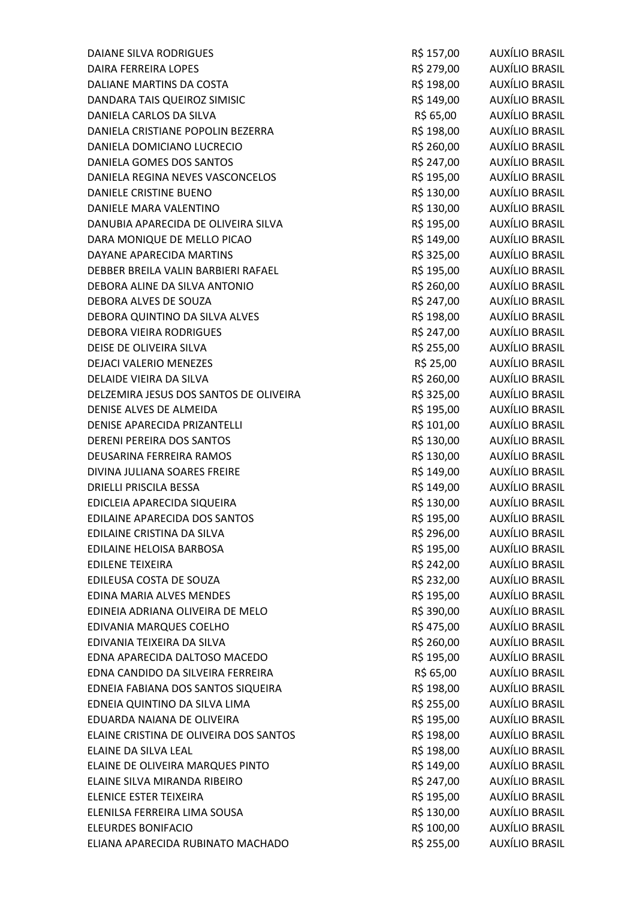| <b>DAIANE SILVA RODRIGUES</b>          | R\$ 157,00 | AUXÍLIO BRASIL        |
|----------------------------------------|------------|-----------------------|
| DAIRA FERREIRA LOPES                   | R\$ 279,00 | AUXÍLIO BRASIL        |
| DALIANE MARTINS DA COSTA               | R\$ 198,00 | AUXÍLIO BRASIL        |
| DANDARA TAIS QUEIROZ SIMISIC           | R\$ 149,00 | <b>AUXÍLIO BRASIL</b> |
| DANIELA CARLOS DA SILVA                | R\$ 65,00  | <b>AUXÍLIO BRASIL</b> |
| DANIELA CRISTIANE POPOLIN BEZERRA      | R\$ 198,00 | AUXÍLIO BRASIL        |
| DANIELA DOMICIANO LUCRECIO             | R\$ 260,00 | AUXÍLIO BRASIL        |
| DANIELA GOMES DOS SANTOS               | R\$ 247,00 | <b>AUXÍLIO BRASIL</b> |
| DANIELA REGINA NEVES VASCONCELOS       | R\$ 195,00 | AUXÍLIO BRASIL        |
| DANIELE CRISTINE BUENO                 | R\$ 130,00 | <b>AUXÍLIO BRASIL</b> |
| DANIELE MARA VALENTINO                 | R\$ 130,00 | AUXÍLIO BRASIL        |
| DANUBIA APARECIDA DE OLIVEIRA SILVA    | R\$ 195,00 | AUXÍLIO BRASIL        |
| DARA MONIQUE DE MELLO PICAO            | R\$ 149,00 | AUXÍLIO BRASIL        |
| DAYANE APARECIDA MARTINS               | R\$ 325,00 | AUXÍLIO BRASIL        |
| DEBBER BREILA VALIN BARBIERI RAFAEL    | R\$ 195,00 | AUXÍLIO BRASIL        |
| DEBORA ALINE DA SILVA ANTONIO          | R\$ 260,00 | AUXÍLIO BRASIL        |
| DEBORA ALVES DE SOUZA                  | R\$ 247,00 | AUXÍLIO BRASIL        |
| DEBORA QUINTINO DA SILVA ALVES         | R\$ 198,00 | <b>AUXÍLIO BRASIL</b> |
| <b>DEBORA VIEIRA RODRIGUES</b>         | R\$ 247,00 | <b>AUXÍLIO BRASIL</b> |
| DEISE DE OLIVEIRA SILVA                | R\$ 255,00 | AUXÍLIO BRASIL        |
| <b>DEJACI VALERIO MENEZES</b>          | R\$ 25,00  | AUXÍLIO BRASIL        |
| DELAIDE VIEIRA DA SILVA                | R\$ 260,00 | AUXÍLIO BRASIL        |
| DELZEMIRA JESUS DOS SANTOS DE OLIVEIRA | R\$ 325,00 | <b>AUXÍLIO BRASIL</b> |
| DENISE ALVES DE ALMEIDA                | R\$ 195,00 | <b>AUXÍLIO BRASIL</b> |
| DENISE APARECIDA PRIZANTELLI           | R\$ 101,00 | AUXÍLIO BRASIL        |
| DERENI PEREIRA DOS SANTOS              | R\$ 130,00 | AUXÍLIO BRASIL        |
| DEUSARINA FERREIRA RAMOS               | R\$ 130,00 | <b>AUXÍLIO BRASIL</b> |
| DIVINA JULIANA SOARES FREIRE           | R\$ 149,00 | <b>AUXÍLIO BRASIL</b> |
| <b>DRIELLI PRISCILA BESSA</b>          | R\$ 149,00 | AUXÍLIO BRASIL        |
| EDICLEIA APARECIDA SIQUEIRA            | R\$ 130,00 | AUXÍLIO BRASIL        |
| EDILAINE APARECIDA DOS SANTOS          | R\$ 195,00 | <b>AUXÍLIO BRASIL</b> |
| EDILAINE CRISTINA DA SILVA             | R\$ 296,00 | <b>AUXÍLIO BRASIL</b> |
| EDILAINE HELOISA BARBOSA               | R\$ 195,00 | AUXÍLIO BRASIL        |
| <b>EDILENE TEIXEIRA</b>                | R\$ 242,00 | AUXÍLIO BRASIL        |
| EDILEUSA COSTA DE SOUZA                | R\$ 232,00 | <b>AUXÍLIO BRASIL</b> |
| EDINA MARIA ALVES MENDES               | R\$ 195,00 | <b>AUXÍLIO BRASIL</b> |
| EDINEIA ADRIANA OLIVEIRA DE MELO       | R\$ 390,00 | <b>AUXÍLIO BRASIL</b> |
| EDIVANIA MARQUES COELHO                | R\$ 475,00 | <b>AUXÍLIO BRASIL</b> |
| EDIVANIA TEIXEIRA DA SILVA             | R\$ 260,00 | <b>AUXÍLIO BRASIL</b> |
| EDNA APARECIDA DALTOSO MACEDO          | R\$ 195,00 | AUXÍLIO BRASIL        |
| EDNA CANDIDO DA SILVEIRA FERREIRA      | R\$ 65,00  | <b>AUXÍLIO BRASIL</b> |
| EDNEIA FABIANA DOS SANTOS SIQUEIRA     | R\$ 198,00 | <b>AUXÍLIO BRASIL</b> |
| EDNEIA QUINTINO DA SILVA LIMA          | R\$ 255,00 | <b>AUXÍLIO BRASIL</b> |
| EDUARDA NAIANA DE OLIVEIRA             | R\$ 195,00 | <b>AUXÍLIO BRASIL</b> |
| ELAINE CRISTINA DE OLIVEIRA DOS SANTOS | R\$ 198,00 | <b>AUXÍLIO BRASIL</b> |
| ELAINE DA SILVA LEAL                   | R\$ 198,00 | <b>AUXÍLIO BRASIL</b> |
| ELAINE DE OLIVEIRA MARQUES PINTO       | R\$ 149,00 | <b>AUXÍLIO BRASIL</b> |
| ELAINE SILVA MIRANDA RIBEIRO           | R\$ 247,00 | <b>AUXÍLIO BRASIL</b> |
| ELENICE ESTER TEIXEIRA                 | R\$ 195,00 | <b>AUXÍLIO BRASIL</b> |
| ELENILSA FERREIRA LIMA SOUSA           | R\$ 130,00 | <b>AUXÍLIO BRASIL</b> |
| <b>ELEURDES BONIFACIO</b>              | R\$ 100,00 | <b>AUXÍLIO BRASIL</b> |
| ELIANA APARECIDA RUBINATO MACHADO      | R\$ 255,00 | <b>AUXÍLIO BRASIL</b> |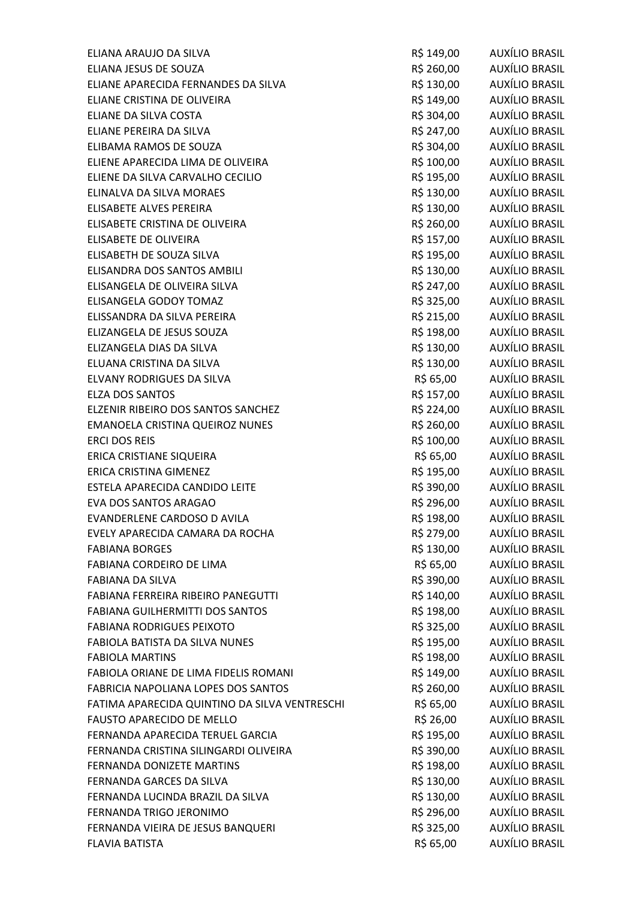| ELIANA ARAUJO DA SILVA                        | R\$ 149,00 | AUXÍLIO BRASIL        |
|-----------------------------------------------|------------|-----------------------|
| ELIANA JESUS DE SOUZA                         | R\$ 260,00 | AUXÍLIO BRASIL        |
| ELIANE APARECIDA FERNANDES DA SILVA           | R\$ 130,00 | AUXÍLIO BRASIL        |
| ELIANE CRISTINA DE OLIVEIRA                   | R\$ 149,00 | <b>AUXÍLIO BRASIL</b> |
| ELIANE DA SILVA COSTA                         | R\$ 304,00 | <b>AUXÍLIO BRASIL</b> |
| ELIANE PEREIRA DA SILVA                       | R\$ 247,00 | AUXÍLIO BRASIL        |
| ELIBAMA RAMOS DE SOUZA                        | R\$ 304,00 | AUXÍLIO BRASIL        |
| ELIENE APARECIDA LIMA DE OLIVEIRA             | R\$ 100,00 | <b>AUXÍLIO BRASIL</b> |
| ELIENE DA SILVA CARVALHO CECILIO              | R\$ 195,00 | <b>AUXÍLIO BRASIL</b> |
| ELINALVA DA SILVA MORAES                      | R\$ 130,00 | AUXÍLIO BRASIL        |
| ELISABETE ALVES PEREIRA                       | R\$ 130,00 | AUXÍLIO BRASIL        |
| ELISABETE CRISTINA DE OLIVEIRA                | R\$ 260,00 | <b>AUXÍLIO BRASIL</b> |
| ELISABETE DE OLIVEIRA                         | R\$ 157,00 | <b>AUXÍLIO BRASIL</b> |
| ELISABETH DE SOUZA SILVA                      | R\$ 195,00 | AUXÍLIO BRASIL        |
| ELISANDRA DOS SANTOS AMBILI                   | R\$ 130,00 | AUXÍLIO BRASIL        |
| ELISANGELA DE OLIVEIRA SILVA                  | R\$ 247,00 | <b>AUXÍLIO BRASIL</b> |
| ELISANGELA GODOY TOMAZ                        | R\$ 325,00 | <b>AUXÍLIO BRASIL</b> |
| ELISSANDRA DA SILVA PEREIRA                   | R\$ 215,00 | <b>AUXÍLIO BRASIL</b> |
| ELIZANGELA DE JESUS SOUZA                     | R\$ 198,00 | <b>AUXÍLIO BRASIL</b> |
| ELIZANGELA DIAS DA SILVA                      | R\$ 130,00 | AUXÍLIO BRASIL        |
| ELUANA CRISTINA DA SILVA                      | R\$ 130,00 | AUXÍLIO BRASIL        |
| ELVANY RODRIGUES DA SILVA                     | R\$ 65,00  | AUXÍLIO BRASIL        |
| <b>ELZA DOS SANTOS</b>                        | R\$ 157,00 | <b>AUXÍLIO BRASIL</b> |
| ELZENIR RIBEIRO DOS SANTOS SANCHEZ            | R\$ 224,00 | <b>AUXÍLIO BRASIL</b> |
| EMANOELA CRISTINA QUEIROZ NUNES               | R\$ 260,00 | AUXÍLIO BRASIL        |
| <b>ERCI DOS REIS</b>                          | R\$ 100,00 | AUXÍLIO BRASIL        |
| ERICA CRISTIANE SIQUEIRA                      | R\$ 65,00  | <b>AUXÍLIO BRASIL</b> |
| ERICA CRISTINA GIMENEZ                        | R\$ 195,00 | <b>AUXÍLIO BRASIL</b> |
| ESTELA APARECIDA CANDIDO LEITE                | R\$ 390,00 | <b>AUXÍLIO BRASIL</b> |
| EVA DOS SANTOS ARAGAO                         | R\$ 296,00 | AUXÍLIO BRASIL        |
| EVANDERLENE CARDOSO D AVILA                   | R\$ 198,00 | <b>AUXÍLIO BRASIL</b> |
| EVELY APARECIDA CAMARA DA ROCHA               | R\$ 279,00 | <b>AUXÍLIO BRASIL</b> |
| <b>FABIANA BORGES</b>                         | R\$ 130,00 | AUXÍLIO BRASIL        |
| FABIANA CORDEIRO DE LIMA                      | R\$ 65,00  | <b>AUXÍLIO BRASIL</b> |
| <b>FABIANA DA SILVA</b>                       | R\$ 390,00 | <b>AUXÍLIO BRASIL</b> |
| FABIANA FERREIRA RIBEIRO PANEGUTTI            | R\$ 140,00 | AUXÍLIO BRASIL        |
| FABIANA GUILHERMITTI DOS SANTOS               | R\$ 198,00 | <b>AUXÍLIO BRASIL</b> |
| <b>FABIANA RODRIGUES PEIXOTO</b>              | R\$ 325,00 | <b>AUXÍLIO BRASIL</b> |
| FABIOLA BATISTA DA SILVA NUNES                | R\$ 195,00 | AUXÍLIO BRASIL        |
| <b>FABIOLA MARTINS</b>                        | R\$ 198,00 | AUXÍLIO BRASIL        |
| FABIOLA ORIANE DE LIMA FIDELIS ROMANI         | R\$ 149,00 | AUXÍLIO BRASIL        |
| FABRICIA NAPOLIANA LOPES DOS SANTOS           | R\$ 260,00 | <b>AUXÍLIO BRASIL</b> |
| FATIMA APARECIDA QUINTINO DA SILVA VENTRESCHI | R\$ 65,00  | <b>AUXÍLIO BRASIL</b> |
| <b>FAUSTO APARECIDO DE MELLO</b>              | R\$ 26,00  | AUXÍLIO BRASIL        |
| FERNANDA APARECIDA TERUEL GARCIA              | R\$ 195,00 | <b>AUXÍLIO BRASIL</b> |
| FERNANDA CRISTINA SILINGARDI OLIVEIRA         | R\$ 390,00 | <b>AUXÍLIO BRASIL</b> |
| FERNANDA DONIZETE MARTINS                     | R\$ 198,00 | <b>AUXÍLIO BRASIL</b> |
| FERNANDA GARCES DA SILVA                      | R\$ 130,00 | AUXÍLIO BRASIL        |
| FERNANDA LUCINDA BRAZIL DA SILVA              | R\$ 130,00 | <b>AUXÍLIO BRASIL</b> |
| FERNANDA TRIGO JERONIMO                       | R\$ 296,00 | <b>AUXÍLIO BRASIL</b> |
| FERNANDA VIEIRA DE JESUS BANQUERI             | R\$ 325,00 | AUXÍLIO BRASIL        |
| <b>FLAVIA BATISTA</b>                         | R\$ 65,00  | AUXÍLIO BRASIL        |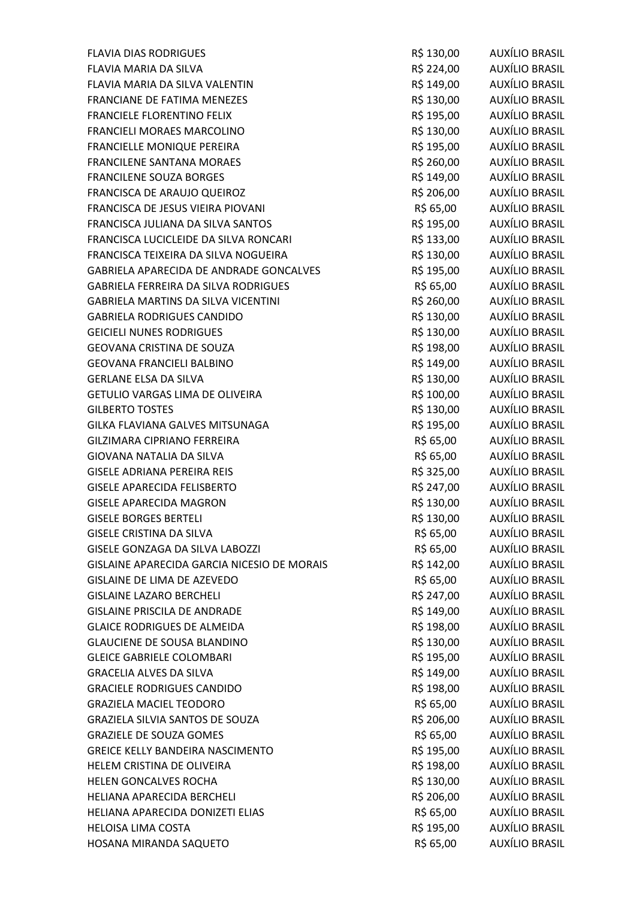| <b>FLAVIA DIAS RODRIGUES</b>                | R\$ 130,00 | AUXÍLIO BRASIL        |
|---------------------------------------------|------------|-----------------------|
| FLAVIA MARIA DA SILVA                       | R\$ 224,00 | AUXÍLIO BRASIL        |
| FLAVIA MARIA DA SILVA VALENTIN              | R\$ 149,00 | AUXÍLIO BRASIL        |
| FRANCIANE DE FATIMA MENEZES                 | R\$ 130,00 | AUXÍLIO BRASIL        |
| FRANCIELE FLORENTINO FELIX                  | R\$ 195,00 | <b>AUXÍLIO BRASIL</b> |
| FRANCIELI MORAES MARCOLINO                  | R\$ 130,00 | AUXÍLIO BRASIL        |
| FRANCIELLE MONIQUE PEREIRA                  | R\$ 195,00 | AUXÍLIO BRASIL        |
| <b>FRANCILENE SANTANA MORAES</b>            | R\$ 260,00 | <b>AUXÍLIO BRASIL</b> |
| <b>FRANCILENE SOUZA BORGES</b>              | R\$ 149,00 | <b>AUXÍLIO BRASIL</b> |
| FRANCISCA DE ARAUJO QUEIROZ                 | R\$ 206,00 | <b>AUXÍLIO BRASIL</b> |
| FRANCISCA DE JESUS VIEIRA PIOVANI           | R\$ 65,00  | AUXÍLIO BRASIL        |
| FRANCISCA JULIANA DA SILVA SANTOS           | R\$ 195,00 | <b>AUXÍLIO BRASIL</b> |
| FRANCISCA LUCICLEIDE DA SILVA RONCARI       | R\$ 133,00 | <b>AUXÍLIO BRASIL</b> |
| FRANCISCA TEIXEIRA DA SILVA NOGUEIRA        | R\$ 130,00 | AUXÍLIO BRASIL        |
| GABRIELA APARECIDA DE ANDRADE GONCALVES     | R\$ 195,00 | <b>AUXÍLIO BRASIL</b> |
| <b>GABRIELA FERREIRA DA SILVA RODRIGUES</b> | R\$ 65,00  | AUXÍLIO BRASIL        |
| <b>GABRIELA MARTINS DA SILVA VICENTINI</b>  | R\$ 260,00 | AUXÍLIO BRASIL        |
| <b>GABRIELA RODRIGUES CANDIDO</b>           | R\$ 130,00 | <b>AUXÍLIO BRASIL</b> |
| <b>GEICIELI NUNES RODRIGUES</b>             | R\$ 130,00 | <b>AUXÍLIO BRASIL</b> |
| <b>GEOVANA CRISTINA DE SOUZA</b>            | R\$ 198,00 | <b>AUXÍLIO BRASIL</b> |
| <b>GEOVANA FRANCIELI BALBINO</b>            | R\$ 149,00 | AUXÍLIO BRASIL        |
| <b>GERLANE ELSA DA SILVA</b>                | R\$ 130,00 | <b>AUXÍLIO BRASIL</b> |
| GETULIO VARGAS LIMA DE OLIVEIRA             | R\$ 100,00 | <b>AUXÍLIO BRASIL</b> |
| <b>GILBERTO TOSTES</b>                      | R\$ 130,00 | <b>AUXÍLIO BRASIL</b> |
| GILKA FLAVIANA GALVES MITSUNAGA             | R\$ 195,00 | AUXÍLIO BRASIL        |
| <b>GILZIMARA CIPRIANO FERREIRA</b>          | R\$ 65,00  | AUXÍLIO BRASIL        |
| GIOVANA NATALIA DA SILVA                    | R\$ 65,00  | AUXÍLIO BRASIL        |
| <b>GISELE ADRIANA PEREIRA REIS</b>          | R\$ 325,00 | <b>AUXÍLIO BRASIL</b> |
| <b>GISELE APARECIDA FELISBERTO</b>          | R\$ 247,00 | AUXÍLIO BRASIL        |
| <b>GISELE APARECIDA MAGRON</b>              | R\$ 130,00 | <b>AUXÍLIO BRASIL</b> |
| <b>GISELE BORGES BERTELI</b>                | R\$ 130,00 | <b>AUXÍLIO BRASIL</b> |
| <b>GISELE CRISTINA DA SILVA</b>             | R\$ 65,00  | AUXÍLIO BRASIL        |
| GISELE GONZAGA DA SILVA LABOZZI             | R\$ 65,00  | AUXÍLIO BRASIL        |
| GISLAINE APARECIDA GARCIA NICESIO DE MORAIS | R\$ 142,00 | <b>AUXÍLIO BRASIL</b> |
| GISLAINE DE LIMA DE AZEVEDO                 | R\$ 65,00  | <b>AUXÍLIO BRASIL</b> |
| <b>GISLAINE LAZARO BERCHELI</b>             | R\$ 247,00 | AUXÍLIO BRASIL        |
| <b>GISLAINE PRISCILA DE ANDRADE</b>         | R\$ 149,00 | <b>AUXÍLIO BRASIL</b> |
| <b>GLAICE RODRIGUES DE ALMEIDA</b>          | R\$ 198,00 | <b>AUXÍLIO BRASIL</b> |
| <b>GLAUCIENE DE SOUSA BLANDINO</b>          | R\$ 130,00 | <b>AUXÍLIO BRASIL</b> |
| <b>GLEICE GABRIELE COLOMBARI</b>            | R\$ 195,00 | <b>AUXÍLIO BRASIL</b> |
| <b>GRACELIA ALVES DA SILVA</b>              | R\$ 149,00 | <b>AUXÍLIO BRASIL</b> |
| <b>GRACIELE RODRIGUES CANDIDO</b>           | R\$ 198,00 | <b>AUXÍLIO BRASIL</b> |
| <b>GRAZIELA MACIEL TEODORO</b>              | R\$ 65,00  | <b>AUXÍLIO BRASIL</b> |
| GRAZIELA SILVIA SANTOS DE SOUZA             | R\$ 206,00 | <b>AUXÍLIO BRASIL</b> |
| <b>GRAZIELE DE SOUZA GOMES</b>              | R\$ 65,00  | <b>AUXÍLIO BRASIL</b> |
| <b>GREICE KELLY BANDEIRA NASCIMENTO</b>     | R\$ 195,00 | <b>AUXÍLIO BRASIL</b> |
| HELEM CRISTINA DE OLIVEIRA                  | R\$ 198,00 | <b>AUXÍLIO BRASIL</b> |
| HELEN GONCALVES ROCHA                       | R\$ 130,00 | AUXÍLIO BRASIL        |
| HELIANA APARECIDA BERCHELI                  | R\$ 206,00 | <b>AUXÍLIO BRASIL</b> |
| HELIANA APARECIDA DONIZETI ELIAS            | R\$ 65,00  | <b>AUXÍLIO BRASIL</b> |
| HELOISA LIMA COSTA                          | R\$ 195,00 | AUXÍLIO BRASIL        |
| HOSANA MIRANDA SAQUETO                      | R\$ 65,00  | <b>AUXÍLIO BRASIL</b> |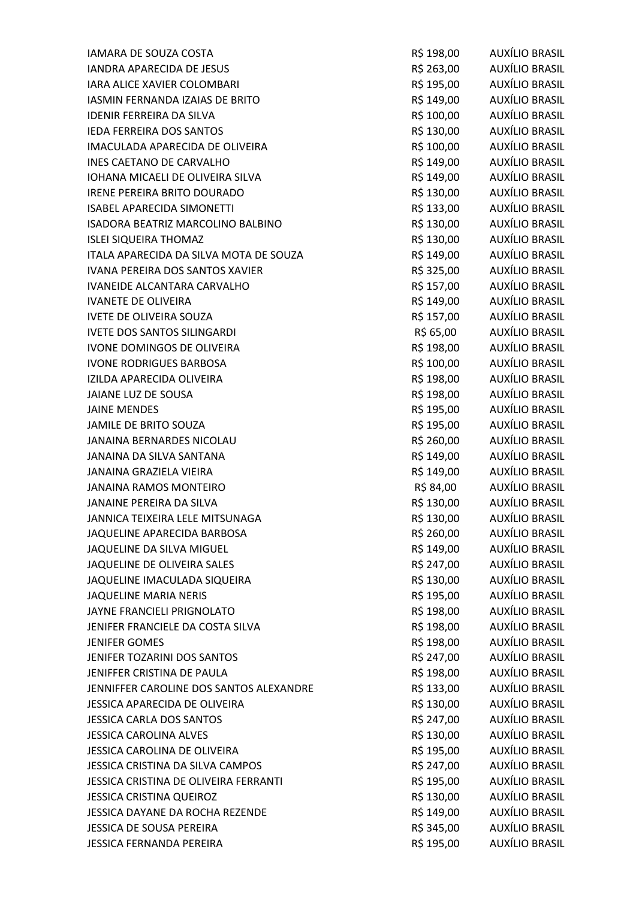| IAMARA DE SOUZA COSTA                   | R\$ 198,00 | AUXÍLIO BRASIL        |
|-----------------------------------------|------------|-----------------------|
| <b>IANDRA APARECIDA DE JESUS</b>        | R\$ 263,00 | AUXÍLIO BRASIL        |
| IARA ALICE XAVIER COLOMBARI             | R\$ 195,00 | AUXÍLIO BRASIL        |
| IASMIN FERNANDA IZAIAS DE BRITO         | R\$ 149,00 | <b>AUXÍLIO BRASIL</b> |
| <b>IDENIR FERREIRA DA SILVA</b>         | R\$ 100,00 | <b>AUXÍLIO BRASIL</b> |
| IEDA FERREIRA DOS SANTOS                | R\$ 130,00 | AUXÍLIO BRASIL        |
| IMACULADA APARECIDA DE OLIVEIRA         | R\$ 100,00 | AUXÍLIO BRASIL        |
| <b>INES CAETANO DE CARVALHO</b>         | R\$ 149,00 | <b>AUXÍLIO BRASIL</b> |
| <b>IOHANA MICAELI DE OLIVEIRA SILVA</b> | R\$ 149,00 | <b>AUXÍLIO BRASIL</b> |
| IRENE PEREIRA BRITO DOURADO             | R\$ 130,00 | AUXÍLIO BRASIL        |
| <b>ISABEL APARECIDA SIMONETTI</b>       | R\$ 133,00 | <b>AUXÍLIO BRASIL</b> |
| ISADORA BEATRIZ MARCOLINO BALBINO       | R\$ 130,00 | <b>AUXÍLIO BRASIL</b> |
| <b>ISLEI SIQUEIRA THOMAZ</b>            | R\$ 130,00 | AUXÍLIO BRASIL        |
| ITALA APARECIDA DA SILVA MOTA DE SOUZA  | R\$ 149,00 | <b>AUXÍLIO BRASIL</b> |
| IVANA PEREIRA DOS SANTOS XAVIER         | R\$ 325,00 | <b>AUXÍLIO BRASIL</b> |
| <b>IVANEIDE ALCANTARA CARVALHO</b>      | R\$ 157,00 | <b>AUXÍLIO BRASIL</b> |
| <b>IVANETE DE OLIVEIRA</b>              | R\$ 149,00 | AUXÍLIO BRASIL        |
| <b>IVETE DE OLIVEIRA SOUZA</b>          | R\$ 157,00 | <b>AUXÍLIO BRASIL</b> |
| <b>IVETE DOS SANTOS SILINGARDI</b>      | R\$ 65,00  | <b>AUXÍLIO BRASIL</b> |
| IVONE DOMINGOS DE OLIVEIRA              | R\$ 198,00 | <b>AUXÍLIO BRASIL</b> |
| <b>IVONE RODRIGUES BARBOSA</b>          | R\$ 100,00 | AUXÍLIO BRASIL        |
| IZILDA APARECIDA OLIVEIRA               | R\$ 198,00 | <b>AUXÍLIO BRASIL</b> |
| JAIANE LUZ DE SOUSA                     | R\$ 198,00 | <b>AUXÍLIO BRASIL</b> |
| <b>JAINE MENDES</b>                     | R\$ 195,00 | <b>AUXÍLIO BRASIL</b> |
| JAMILE DE BRITO SOUZA                   | R\$ 195,00 | AUXÍLIO BRASIL        |
| JANAINA BERNARDES NICOLAU               | R\$ 260,00 | AUXÍLIO BRASIL        |
| JANAINA DA SILVA SANTANA                | R\$ 149,00 | <b>AUXÍLIO BRASIL</b> |
| JANAINA GRAZIELA VIEIRA                 | R\$ 149,00 | <b>AUXÍLIO BRASIL</b> |
| <b>JANAINA RAMOS MONTEIRO</b>           | R\$ 84,00  | AUXÍLIO BRASIL        |
| JANAINE PEREIRA DA SILVA                | R\$ 130,00 | AUXÍLIO BRASIL        |
| JANNICA TEIXEIRA LELE MITSUNAGA         | R\$ 130,00 | <b>AUXÍLIO BRASIL</b> |
| JAQUELINE APARECIDA BARBOSA             | R\$ 260,00 | <b>AUXÍLIO BRASIL</b> |
| JAQUELINE DA SILVA MIGUEL               | R\$ 149,00 | AUXÍLIO BRASIL        |
| JAQUELINE DE OLIVEIRA SALES             | R\$ 247,00 | <b>AUXÍLIO BRASIL</b> |
| JAQUELINE IMACULADA SIQUEIRA            | R\$ 130,00 | <b>AUXÍLIO BRASIL</b> |
| <b>JAQUELINE MARIA NERIS</b>            | R\$ 195,00 | <b>AUXÍLIO BRASIL</b> |
| <b>JAYNE FRANCIELI PRIGNOLATO</b>       | R\$ 198,00 | AUXÍLIO BRASIL        |
| JENIFER FRANCIELE DA COSTA SILVA        | R\$ 198,00 | <b>AUXÍLIO BRASIL</b> |
| <b>JENIFER GOMES</b>                    | R\$ 198,00 | <b>AUXÍLIO BRASIL</b> |
| JENIFER TOZARINI DOS SANTOS             | R\$ 247,00 | <b>AUXÍLIO BRASIL</b> |
| JENIFFER CRISTINA DE PAULA              | R\$ 198,00 | <b>AUXÍLIO BRASIL</b> |
| JENNIFFER CAROLINE DOS SANTOS ALEXANDRE | R\$ 133,00 | AUXÍLIO BRASIL        |
| JESSICA APARECIDA DE OLIVEIRA           | R\$ 130,00 | <b>AUXÍLIO BRASIL</b> |
| <b>JESSICA CARLA DOS SANTOS</b>         | R\$ 247,00 | AUXÍLIO BRASIL        |
| <b>JESSICA CAROLINA ALVES</b>           | R\$ 130,00 | <b>AUXÍLIO BRASIL</b> |
| JESSICA CAROLINA DE OLIVEIRA            | R\$ 195,00 | <b>AUXÍLIO BRASIL</b> |
| JESSICA CRISTINA DA SILVA CAMPOS        | R\$ 247,00 | AUXÍLIO BRASIL        |
| JESSICA CRISTINA DE OLIVEIRA FERRANTI   | R\$ 195,00 | AUXÍLIO BRASIL        |
| <b>JESSICA CRISTINA QUEIROZ</b>         | R\$ 130,00 | AUXÍLIO BRASIL        |
| JESSICA DAYANE DA ROCHA REZENDE         | R\$ 149,00 | <b>AUXÍLIO BRASIL</b> |
| JESSICA DE SOUSA PEREIRA                | R\$ 345,00 | AUXÍLIO BRASIL        |
| JESSICA FERNANDA PEREIRA                | R\$ 195,00 | <b>AUXÍLIO BRASIL</b> |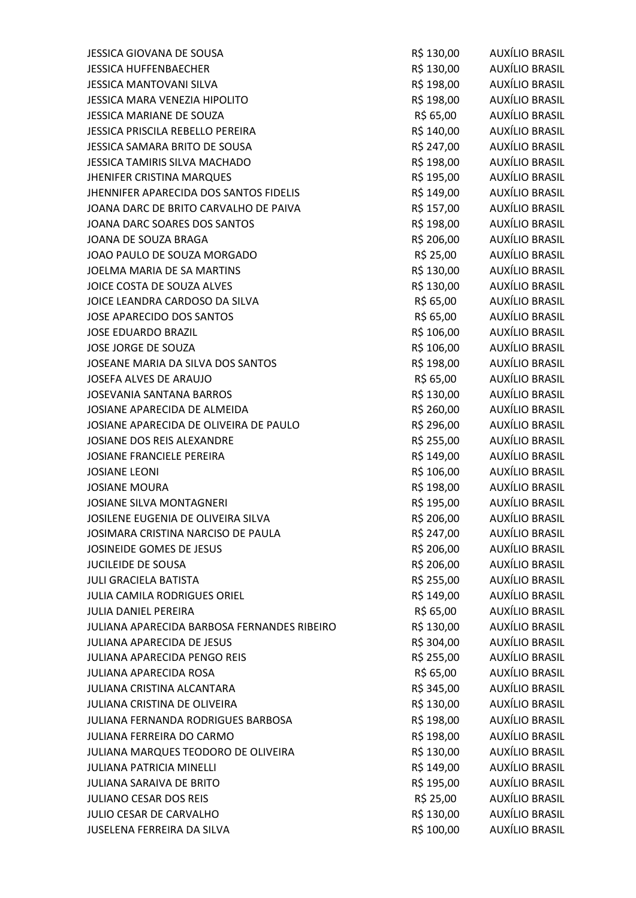| JESSICA GIOVANA DE SOUSA                    | R\$ 130,00 | AUXÍLIO BRASIL        |
|---------------------------------------------|------------|-----------------------|
| <b>JESSICA HUFFENBAECHER</b>                | R\$ 130,00 | AUXÍLIO BRASIL        |
| JESSICA MANTOVANI SILVA                     | R\$ 198,00 | AUXÍLIO BRASIL        |
| JESSICA MARA VENEZIA HIPOLITO               | R\$ 198,00 | AUXÍLIO BRASIL        |
| JESSICA MARIANE DE SOUZA                    | R\$ 65,00  | <b>AUXÍLIO BRASIL</b> |
| JESSICA PRISCILA REBELLO PEREIRA            | R\$ 140,00 | AUXÍLIO BRASIL        |
| JESSICA SAMARA BRITO DE SOUSA               | R\$ 247,00 | AUXÍLIO BRASIL        |
| <b>JESSICA TAMIRIS SILVA MACHADO</b>        | R\$ 198,00 | AUXÍLIO BRASIL        |
| <b>JHENIFER CRISTINA MARQUES</b>            | R\$ 195,00 | AUXÍLIO BRASIL        |
| JHENNIFER APARECIDA DOS SANTOS FIDELIS      | R\$ 149,00 | AUXÍLIO BRASIL        |
| JOANA DARC DE BRITO CARVALHO DE PAIVA       | R\$ 157,00 | AUXÍLIO BRASIL        |
| JOANA DARC SOARES DOS SANTOS                | R\$ 198,00 | AUXÍLIO BRASIL        |
| JOANA DE SOUZA BRAGA                        | R\$ 206,00 | AUXÍLIO BRASIL        |
| JOAO PAULO DE SOUZA MORGADO                 | R\$ 25,00  | AUXÍLIO BRASIL        |
| JOELMA MARIA DE SA MARTINS                  | R\$ 130,00 | <b>AUXÍLIO BRASIL</b> |
| JOICE COSTA DE SOUZA ALVES                  | R\$ 130,00 | <b>AUXÍLIO BRASIL</b> |
| JOICE LEANDRA CARDOSO DA SILVA              | R\$ 65,00  | AUXÍLIO BRASIL        |
| <b>JOSE APARECIDO DOS SANTOS</b>            | R\$ 65,00  | <b>AUXÍLIO BRASIL</b> |
| <b>JOSE EDUARDO BRAZIL</b>                  | R\$ 106,00 | <b>AUXÍLIO BRASIL</b> |
| JOSE JORGE DE SOUZA                         | R\$ 106,00 | <b>AUXÍLIO BRASIL</b> |
| JOSEANE MARIA DA SILVA DOS SANTOS           | R\$ 198,00 | AUXÍLIO BRASIL        |
| JOSEFA ALVES DE ARAUJO                      | R\$ 65,00  | AUXÍLIO BRASIL        |
| <b>JOSEVANIA SANTANA BARROS</b>             | R\$ 130,00 | <b>AUXÍLIO BRASIL</b> |
| JOSIANE APARECIDA DE ALMEIDA                | R\$ 260,00 | <b>AUXÍLIO BRASIL</b> |
| JOSIANE APARECIDA DE OLIVEIRA DE PAULO      | R\$ 296,00 | AUXÍLIO BRASIL        |
| JOSIANE DOS REIS ALEXANDRE                  | R\$ 255,00 | AUXÍLIO BRASIL        |
| <b>JOSIANE FRANCIELE PEREIRA</b>            | R\$ 149,00 | AUXÍLIO BRASIL        |
| <b>JOSIANE LEONI</b>                        | R\$ 106,00 | <b>AUXÍLIO BRASIL</b> |
| <b>JOSIANE MOURA</b>                        | R\$ 198,00 | AUXÍLIO BRASIL        |
| <b>JOSIANE SILVA MONTAGNERI</b>             | R\$ 195,00 | AUXÍLIO BRASIL        |
| JOSILENE EUGENIA DE OLIVEIRA SILVA          | R\$ 206,00 | <b>AUXÍLIO BRASIL</b> |
| JOSIMARA CRISTINA NARCISO DE PAULA          | R\$ 247,00 | AUXÍLIO BRASIL        |
| JOSINEIDE GOMES DE JESUS                    | R\$ 206,00 | <b>AUXÍLIO BRASIL</b> |
| <b>JUCILEIDE DE SOUSA</b>                   | R\$ 206,00 | AUXÍLIO BRASIL        |
| <b>JULI GRACIELA BATISTA</b>                | R\$ 255,00 | <b>AUXÍLIO BRASIL</b> |
| JULIA CAMILA RODRIGUES ORIEL                | R\$ 149,00 | <b>AUXÍLIO BRASIL</b> |
| <b>JULIA DANIEL PEREIRA</b>                 | R\$ 65,00  | AUXÍLIO BRASIL        |
| JULIANA APARECIDA BARBOSA FERNANDES RIBEIRO | R\$ 130,00 | AUXÍLIO BRASIL        |
| JULIANA APARECIDA DE JESUS                  | R\$ 304,00 | AUXÍLIO BRASIL        |
| JULIANA APARECIDA PENGO REIS                | R\$ 255,00 | AUXÍLIO BRASIL        |
| <b>JULIANA APARECIDA ROSA</b>               | R\$ 65,00  | AUXÍLIO BRASIL        |
| JULIANA CRISTINA ALCANTARA                  | R\$ 345,00 | <b>AUXÍLIO BRASIL</b> |
| JULIANA CRISTINA DE OLIVEIRA                | R\$ 130,00 | <b>AUXÍLIO BRASIL</b> |
| JULIANA FERNANDA RODRIGUES BARBOSA          | R\$ 198,00 | <b>AUXÍLIO BRASIL</b> |
| JULIANA FERREIRA DO CARMO                   | R\$ 198,00 | <b>AUXÍLIO BRASIL</b> |
| JULIANA MARQUES TEODORO DE OLIVEIRA         | R\$ 130,00 | <b>AUXÍLIO BRASIL</b> |
| <b>JULIANA PATRICIA MINELLI</b>             | R\$ 149,00 | <b>AUXÍLIO BRASIL</b> |
| <b>JULIANA SARAIVA DE BRITO</b>             | R\$ 195,00 | <b>AUXÍLIO BRASIL</b> |
| JULIANO CESAR DOS REIS                      | R\$ 25,00  | <b>AUXÍLIO BRASIL</b> |
| JULIO CESAR DE CARVALHO                     | R\$ 130,00 | AUXÍLIO BRASIL        |
| JUSELENA FERREIRA DA SILVA                  | R\$ 100,00 | <b>AUXÍLIO BRASIL</b> |
|                                             |            |                       |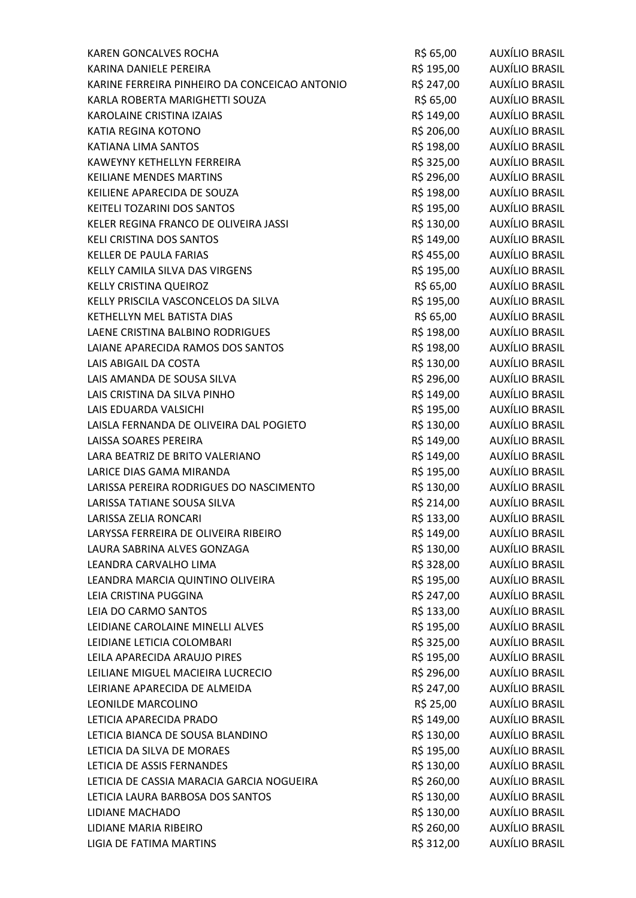| <b>KAREN GONCALVES ROCHA</b>                  | R\$ 65,00  | AUXÍLIO BRASIL        |
|-----------------------------------------------|------------|-----------------------|
| KARINA DANIELE PEREIRA                        | R\$ 195,00 | AUXÍLIO BRASIL        |
| KARINE FERREIRA PINHEIRO DA CONCEICAO ANTONIO | R\$ 247,00 | AUXÍLIO BRASIL        |
| KARLA ROBERTA MARIGHETTI SOUZA                | R\$ 65,00  | <b>AUXÍLIO BRASIL</b> |
| <b>KAROLAINE CRISTINA IZAIAS</b>              | R\$ 149,00 | <b>AUXÍLIO BRASIL</b> |
| KATIA REGINA KOTONO                           | R\$ 206,00 | AUXÍLIO BRASIL        |
| KATIANA LIMA SANTOS                           | R\$ 198,00 | AUXÍLIO BRASIL        |
| <b>KAWEYNY KETHELLYN FERREIRA</b>             | R\$ 325,00 | AUXÍLIO BRASIL        |
| <b>KEILIANE MENDES MARTINS</b>                | R\$ 296,00 | AUXÍLIO BRASIL        |
| KEILIENE APARECIDA DE SOUZA                   | R\$ 198,00 | AUXÍLIO BRASIL        |
| KEITELI TOZARINI DOS SANTOS                   | R\$ 195,00 | AUXÍLIO BRASIL        |
| KELER REGINA FRANCO DE OLIVEIRA JASSI         | R\$ 130,00 | AUXÍLIO BRASIL        |
| <b>KELI CRISTINA DOS SANTOS</b>               | R\$ 149,00 | AUXÍLIO BRASIL        |
| <b>KELLER DE PAULA FARIAS</b>                 | R\$ 455,00 | AUXÍLIO BRASIL        |
| KELLY CAMILA SILVA DAS VIRGENS                | R\$ 195,00 | AUXÍLIO BRASIL        |
| KELLY CRISTINA QUEIROZ                        | R\$ 65,00  | <b>AUXÍLIO BRASIL</b> |
| KELLY PRISCILA VASCONCELOS DA SILVA           | R\$ 195,00 | AUXÍLIO BRASIL        |
| KETHELLYN MEL BATISTA DIAS                    | R\$ 65,00  | AUXÍLIO BRASIL        |
| LAENE CRISTINA BALBINO RODRIGUES              | R\$ 198,00 | AUXÍLIO BRASIL        |
| LAIANE APARECIDA RAMOS DOS SANTOS             | R\$ 198,00 | AUXÍLIO BRASIL        |
| LAIS ABIGAIL DA COSTA                         | R\$ 130,00 | AUXÍLIO BRASIL        |
| LAIS AMANDA DE SOUSA SILVA                    | R\$ 296,00 | AUXÍLIO BRASIL        |
| LAIS CRISTINA DA SILVA PINHO                  | R\$ 149,00 | <b>AUXÍLIO BRASIL</b> |
| LAIS EDUARDA VALSICHI                         | R\$ 195,00 | <b>AUXÍLIO BRASIL</b> |
| LAISLA FERNANDA DE OLIVEIRA DAL POGIETO       | R\$ 130,00 | AUXÍLIO BRASIL        |
| LAISSA SOARES PEREIRA                         | R\$ 149,00 | AUXÍLIO BRASIL        |
| LARA BEATRIZ DE BRITO VALERIANO               | R\$ 149,00 | AUXÍLIO BRASIL        |
| LARICE DIAS GAMA MIRANDA                      | R\$ 195,00 | <b>AUXÍLIO BRASIL</b> |
| LARISSA PEREIRA RODRIGUES DO NASCIMENTO       | R\$ 130,00 | AUXÍLIO BRASIL        |
| LARISSA TATIANE SOUSA SILVA                   | R\$ 214,00 | AUXÍLIO BRASIL        |
| <b>LARISSA ZELIA RONCARI</b>                  | R\$ 133,00 | <b>AUXÍLIO BRASIL</b> |
| LARYSSA FERREIRA DE OLIVEIRA RIBEIRO          | R\$ 149,00 | AUXÍLIO BRASIL        |
| LAURA SABRINA ALVES GONZAGA                   | R\$ 130,00 | AUXÍLIO BRASIL        |
| LEANDRA CARVALHO LIMA                         | R\$ 328,00 | AUXÍLIO BRASIL        |
| LEANDRA MARCIA QUINTINO OLIVEIRA              | R\$ 195,00 | <b>AUXÍLIO BRASIL</b> |
| <b>LEIA CRISTINA PUGGINA</b>                  | R\$ 247,00 | AUXÍLIO BRASIL        |
| LEIA DO CARMO SANTOS                          | R\$ 133,00 | <b>AUXÍLIO BRASIL</b> |
| LEIDIANE CAROLAINE MINELLI ALVES              | R\$ 195,00 | <b>AUXÍLIO BRASIL</b> |
| LEIDIANE LETICIA COLOMBARI                    | R\$ 325,00 | AUXÍLIO BRASIL        |
| LEILA APARECIDA ARAUJO PIRES                  | R\$ 195,00 | AUXÍLIO BRASIL        |
| LEILIANE MIGUEL MACIEIRA LUCRECIO             | R\$ 296,00 | AUXÍLIO BRASIL        |
| LEIRIANE APARECIDA DE ALMEIDA                 | R\$ 247,00 | <b>AUXÍLIO BRASIL</b> |
| LEONILDE MARCOLINO                            | R\$ 25,00  | AUXÍLIO BRASIL        |
| LETICIA APARECIDA PRADO                       | R\$ 149,00 | AUXÍLIO BRASIL        |
| LETICIA BIANCA DE SOUSA BLANDINO              | R\$ 130,00 | <b>AUXÍLIO BRASIL</b> |
| LETICIA DA SILVA DE MORAES                    | R\$ 195,00 | AUXÍLIO BRASIL        |
| LETICIA DE ASSIS FERNANDES                    | R\$ 130,00 | <b>AUXÍLIO BRASIL</b> |
| LETICIA DE CASSIA MARACIA GARCIA NOGUEIRA     | R\$ 260,00 | <b>AUXÍLIO BRASIL</b> |
| LETICIA LAURA BARBOSA DOS SANTOS              | R\$ 130,00 | <b>AUXÍLIO BRASIL</b> |
| LIDIANE MACHADO                               | R\$ 130,00 | <b>AUXÍLIO BRASIL</b> |
| LIDIANE MARIA RIBEIRO                         | R\$ 260,00 | AUXÍLIO BRASIL        |
| LIGIA DE FATIMA MARTINS                       | R\$ 312,00 | AUXÍLIO BRASIL        |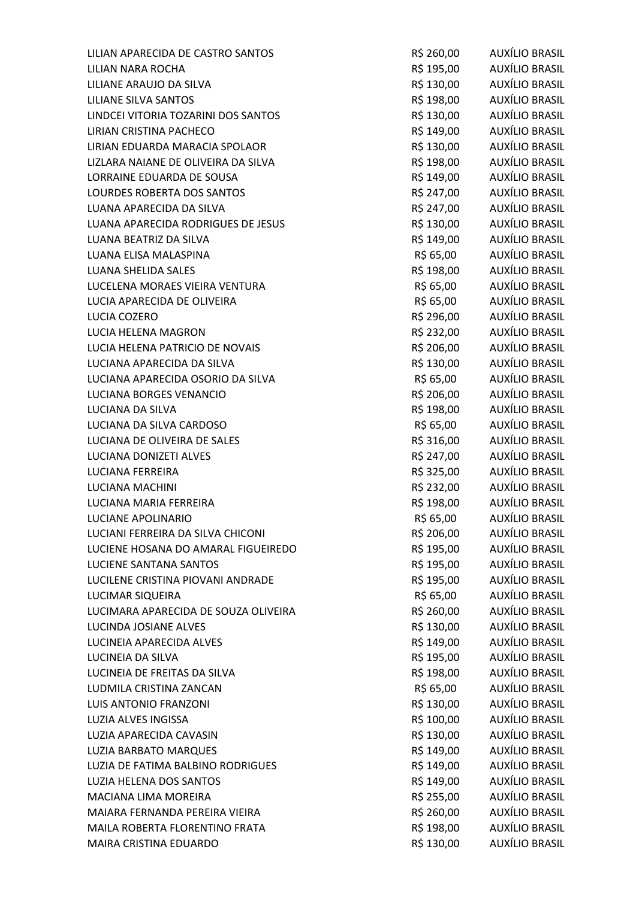| LILIAN APARECIDA DE CASTRO SANTOS    | R\$ 260,00 | AUXÍLIO BRASIL        |
|--------------------------------------|------------|-----------------------|
| LILIAN NARA ROCHA                    | R\$ 195,00 | AUXÍLIO BRASIL        |
| LILIANE ARAUJO DA SILVA              | R\$ 130,00 | AUXÍLIO BRASIL        |
| LILIANE SILVA SANTOS                 | R\$ 198,00 | AUXÍLIO BRASIL        |
| LINDCEI VITORIA TOZARINI DOS SANTOS  | R\$ 130,00 | <b>AUXÍLIO BRASIL</b> |
| LIRIAN CRISTINA PACHECO              | R\$ 149,00 | AUXÍLIO BRASIL        |
| LIRIAN EDUARDA MARACIA SPOLAOR       | R\$ 130,00 | AUXÍLIO BRASIL        |
| LIZLARA NAIANE DE OLIVEIRA DA SILVA  | R\$ 198,00 | AUXÍLIO BRASIL        |
| LORRAINE EDUARDA DE SOUSA            | R\$ 149,00 | <b>AUXÍLIO BRASIL</b> |
| LOURDES ROBERTA DOS SANTOS           | R\$ 247,00 | AUXÍLIO BRASIL        |
| LUANA APARECIDA DA SILVA             | R\$ 247,00 | AUXÍLIO BRASIL        |
| LUANA APARECIDA RODRIGUES DE JESUS   | R\$ 130,00 | AUXÍLIO BRASIL        |
| LUANA BEATRIZ DA SILVA               | R\$ 149,00 | AUXÍLIO BRASIL        |
| LUANA ELISA MALASPINA                | R\$ 65,00  | <b>AUXÍLIO BRASIL</b> |
| LUANA SHELIDA SALES                  | R\$ 198,00 | AUXÍLIO BRASIL        |
| LUCELENA MORAES VIEIRA VENTURA       | R\$ 65,00  | <b>AUXÍLIO BRASIL</b> |
| LUCIA APARECIDA DE OLIVEIRA          | R\$ 65,00  | AUXÍLIO BRASIL        |
| LUCIA COZERO                         | R\$ 296,00 | <b>AUXÍLIO BRASIL</b> |
| LUCIA HELENA MAGRON                  | R\$ 232,00 | <b>AUXÍLIO BRASIL</b> |
| LUCIA HELENA PATRICIO DE NOVAIS      | R\$ 206,00 | <b>AUXÍLIO BRASIL</b> |
| LUCIANA APARECIDA DA SILVA           | R\$ 130,00 | AUXÍLIO BRASIL        |
| LUCIANA APARECIDA OSORIO DA SILVA    | R\$ 65,00  | AUXÍLIO BRASIL        |
| LUCIANA BORGES VENANCIO              | R\$ 206,00 | <b>AUXÍLIO BRASIL</b> |
| LUCIANA DA SILVA                     | R\$ 198,00 | <b>AUXÍLIO BRASIL</b> |
| LUCIANA DA SILVA CARDOSO             | R\$ 65,00  | AUXÍLIO BRASIL        |
| LUCIANA DE OLIVEIRA DE SALES         | R\$ 316,00 | AUXÍLIO BRASIL        |
| LUCIANA DONIZETI ALVES               | R\$ 247,00 | AUXÍLIO BRASIL        |
| <b>LUCIANA FERREIRA</b>              | R\$ 325,00 | <b>AUXÍLIO BRASIL</b> |
| LUCIANA MACHINI                      | R\$ 232,00 | AUXÍLIO BRASIL        |
| LUCIANA MARIA FERREIRA               | R\$ 198,00 | <b>AUXÍLIO BRASIL</b> |
| <b>LUCIANE APOLINARIO</b>            | R\$ 65,00  | <b>AUXÍLIO BRASIL</b> |
| LUCIANI FERREIRA DA SILVA CHICONI    | R\$ 206,00 | AUXÍLIO BRASIL        |
| LUCIENE HOSANA DO AMARAL FIGUEIREDO  | R\$ 195,00 | <b>AUXÍLIO BRASIL</b> |
| LUCIENE SANTANA SANTOS               | R\$ 195,00 | AUXÍLIO BRASIL        |
| LUCILENE CRISTINA PIOVANI ANDRADE    | R\$ 195,00 | <b>AUXÍLIO BRASIL</b> |
| LUCIMAR SIQUEIRA                     | R\$ 65,00  | <b>AUXÍLIO BRASIL</b> |
| LUCIMARA APARECIDA DE SOUZA OLIVEIRA | R\$ 260,00 | <b>AUXÍLIO BRASIL</b> |
| <b>LUCINDA JOSIANE ALVES</b>         | R\$ 130,00 | AUXÍLIO BRASIL        |
| LUCINEIA APARECIDA ALVES             | R\$ 149,00 | <b>AUXÍLIO BRASIL</b> |
| LUCINEIA DA SILVA                    | R\$ 195,00 | AUXÍLIO BRASIL        |
| LUCINEIA DE FREITAS DA SILVA         | R\$ 198,00 | AUXÍLIO BRASIL        |
| LUDMILA CRISTINA ZANCAN              | R\$ 65,00  | <b>AUXÍLIO BRASIL</b> |
| <b>LUIS ANTONIO FRANZONI</b>         | R\$ 130,00 | <b>AUXÍLIO BRASIL</b> |
| LUZIA ALVES INGISSA                  | R\$ 100,00 | <b>AUXÍLIO BRASIL</b> |
| LUZIA APARECIDA CAVASIN              | R\$ 130,00 | <b>AUXÍLIO BRASIL</b> |
| LUZIA BARBATO MARQUES                | R\$ 149,00 | <b>AUXÍLIO BRASIL</b> |
| LUZIA DE FATIMA BALBINO RODRIGUES    | R\$ 149,00 | <b>AUXÍLIO BRASIL</b> |
| LUZIA HELENA DOS SANTOS              | R\$ 149,00 | AUXÍLIO BRASIL        |
| <b>MACIANA LIMA MOREIRA</b>          | R\$ 255,00 | <b>AUXÍLIO BRASIL</b> |
| MAIARA FERNANDA PEREIRA VIEIRA       | R\$ 260,00 | <b>AUXÍLIO BRASIL</b> |
| MAILA ROBERTA FLORENTINO FRATA       | R\$ 198,00 | AUXÍLIO BRASIL        |
| MAIRA CRISTINA EDUARDO               | R\$ 130,00 | <b>AUXÍLIO BRASIL</b> |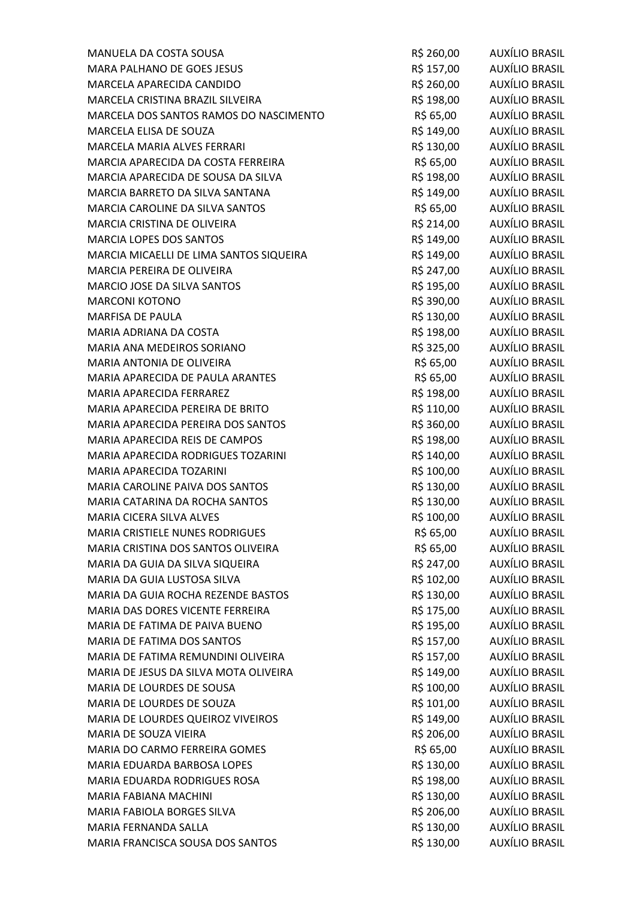| MANUELA DA COSTA SOUSA                  | R\$ 260,00 | <b>AUXÍLIO BRASIL</b> |
|-----------------------------------------|------------|-----------------------|
| MARA PALHANO DE GOES JESUS              | R\$ 157,00 | AUXÍLIO BRASIL        |
| MARCELA APARECIDA CANDIDO               | R\$ 260,00 | AUXÍLIO BRASIL        |
| MARCELA CRISTINA BRAZIL SILVEIRA        | R\$ 198,00 | <b>AUXÍLIO BRASIL</b> |
| MARCELA DOS SANTOS RAMOS DO NASCIMENTO  | R\$ 65,00  | <b>AUXÍLIO BRASIL</b> |
| MARCELA ELISA DE SOUZA                  | R\$ 149,00 | <b>AUXÍLIO BRASIL</b> |
| MARCELA MARIA ALVES FERRARI             | R\$ 130,00 | AUXÍLIO BRASIL        |
| MARCIA APARECIDA DA COSTA FERREIRA      | R\$ 65,00  | AUXÍLIO BRASIL        |
| MARCIA APARECIDA DE SOUSA DA SILVA      | R\$ 198,00 | <b>AUXÍLIO BRASIL</b> |
| MARCIA BARRETO DA SILVA SANTANA         | R\$ 149,00 | AUXÍLIO BRASIL        |
| MARCIA CAROLINE DA SILVA SANTOS         | R\$ 65,00  | <b>AUXÍLIO BRASIL</b> |
| MARCIA CRISTINA DE OLIVEIRA             | R\$ 214,00 | <b>AUXÍLIO BRASIL</b> |
| <b>MARCIA LOPES DOS SANTOS</b>          | R\$ 149,00 | <b>AUXÍLIO BRASIL</b> |
| MARCIA MICAELLI DE LIMA SANTOS SIQUEIRA | R\$ 149,00 | AUXÍLIO BRASIL        |
| MARCIA PEREIRA DE OLIVEIRA              | R\$ 247,00 | <b>AUXÍLIO BRASIL</b> |
| MARCIO JOSE DA SILVA SANTOS             | R\$ 195,00 | <b>AUXÍLIO BRASIL</b> |
| <b>MARCONI KOTONO</b>                   | R\$ 390,00 | <b>AUXÍLIO BRASIL</b> |
| <b>MARFISA DE PAULA</b>                 | R\$ 130,00 | <b>AUXÍLIO BRASIL</b> |
| MARIA ADRIANA DA COSTA                  | R\$ 198,00 | <b>AUXÍLIO BRASIL</b> |
| MARIA ANA MEDEIROS SORIANO              | R\$ 325,00 | <b>AUXÍLIO BRASIL</b> |
| MARIA ANTONIA DE OLIVEIRA               | R\$ 65,00  | AUXÍLIO BRASIL        |
| MARIA APARECIDA DE PAULA ARANTES        | R\$ 65,00  | AUXÍLIO BRASIL        |
| MARIA APARECIDA FERRAREZ                | R\$ 198,00 | <b>AUXÍLIO BRASIL</b> |
| MARIA APARECIDA PEREIRA DE BRITO        | R\$ 110,00 | <b>AUXÍLIO BRASIL</b> |
| MARIA APARECIDA PEREIRA DOS SANTOS      | R\$ 360,00 | AUXÍLIO BRASIL        |
| MARIA APARECIDA REIS DE CAMPOS          | R\$ 198,00 | AUXÍLIO BRASIL        |
| MARIA APARECIDA RODRIGUES TOZARINI      | R\$ 140,00 | <b>AUXÍLIO BRASIL</b> |
| MARIA APARECIDA TOZARINI                | R\$ 100,00 | <b>AUXÍLIO BRASIL</b> |
| MARIA CAROLINE PAIVA DOS SANTOS         | R\$ 130,00 | <b>AUXÍLIO BRASIL</b> |
| MARIA CATARINA DA ROCHA SANTOS          | R\$ 130,00 | <b>AUXÍLIO BRASIL</b> |
| MARIA CICERA SILVA ALVES                | R\$ 100,00 | <b>AUXÍLIO BRASIL</b> |
| <b>MARIA CRISTIELE NUNES RODRIGUES</b>  | R\$ 65,00  | <b>AUXÍLIO BRASIL</b> |
| MARIA CRISTINA DOS SANTOS OLIVEIRA      | R\$ 65,00  | AUXÍLIO BRASIL        |
| MARIA DA GUIA DA SILVA SIQUEIRA         | R\$ 247,00 | AUXÍLIO BRASIL        |
| MARIA DA GUIA LUSTOSA SILVA             | R\$ 102,00 | <b>AUXÍLIO BRASIL</b> |
| MARIA DA GUIA ROCHA REZENDE BASTOS      | R\$ 130,00 | <b>AUXÍLIO BRASIL</b> |
| MARIA DAS DORES VICENTE FERREIRA        | R\$ 175,00 | <b>AUXÍLIO BRASIL</b> |
| MARIA DE FATIMA DE PAIVA BUENO          | R\$ 195,00 | <b>AUXÍLIO BRASIL</b> |
| MARIA DE FATIMA DOS SANTOS              | R\$ 157,00 | <b>AUXÍLIO BRASIL</b> |
| MARIA DE FATIMA REMUNDINI OLIVEIRA      | R\$ 157,00 | <b>AUXÍLIO BRASIL</b> |
| MARIA DE JESUS DA SILVA MOTA OLIVEIRA   | R\$ 149,00 | <b>AUXÍLIO BRASIL</b> |
| MARIA DE LOURDES DE SOUSA               | R\$ 100,00 | <b>AUXÍLIO BRASIL</b> |
| MARIA DE LOURDES DE SOUZA               | R\$ 101,00 | <b>AUXÍLIO BRASIL</b> |
| MARIA DE LOURDES QUEIROZ VIVEIROS       | R\$ 149,00 | AUXÍLIO BRASIL        |
| MARIA DE SOUZA VIEIRA                   | R\$ 206,00 | <b>AUXÍLIO BRASIL</b> |
| MARIA DO CARMO FERREIRA GOMES           | R\$ 65,00  | <b>AUXÍLIO BRASIL</b> |
| MARIA EDUARDA BARBOSA LOPES             | R\$ 130,00 | <b>AUXÍLIO BRASIL</b> |
| MARIA EDUARDA RODRIGUES ROSA            | R\$ 198,00 | <b>AUXÍLIO BRASIL</b> |
| <b>MARIA FABIANA MACHINI</b>            | R\$ 130,00 | <b>AUXÍLIO BRASIL</b> |
| MARIA FABIOLA BORGES SILVA              | R\$ 206,00 | <b>AUXÍLIO BRASIL</b> |
| MARIA FERNANDA SALLA                    | R\$ 130,00 | <b>AUXÍLIO BRASIL</b> |
| MARIA FRANCISCA SOUSA DOS SANTOS        | R\$ 130,00 | AUXÍLIO BRASIL        |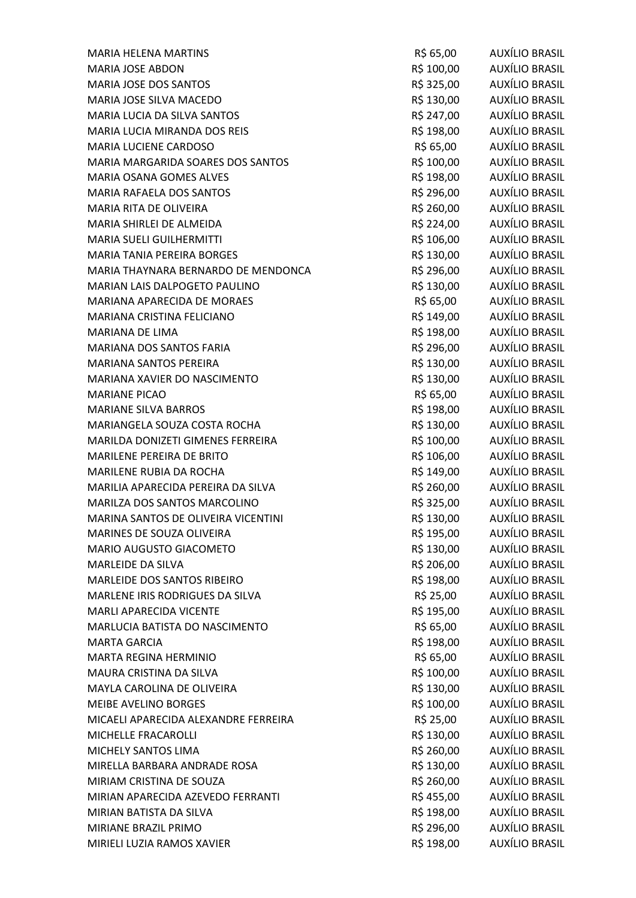| <b>MARIA HELENA MARTINS</b>          | R\$ 65,00  | AUXÍLIO BRASIL        |
|--------------------------------------|------------|-----------------------|
| <b>MARIA JOSE ABDON</b>              | R\$ 100,00 | <b>AUXÍLIO BRASIL</b> |
| MARIA JOSE DOS SANTOS                | R\$ 325,00 | AUXÍLIO BRASIL        |
| MARIA JOSE SILVA MACEDO              | R\$ 130,00 | <b>AUXÍLIO BRASIL</b> |
| MARIA LUCIA DA SILVA SANTOS          | R\$ 247,00 | <b>AUXÍLIO BRASIL</b> |
| MARIA LUCIA MIRANDA DOS REIS         | R\$ 198,00 | AUXÍLIO BRASIL        |
| MARIA LUCIENE CARDOSO                | R\$ 65,00  | AUXÍLIO BRASIL        |
| MARIA MARGARIDA SOARES DOS SANTOS    | R\$ 100,00 | AUXÍLIO BRASIL        |
| MARIA OSANA GOMES ALVES              | R\$ 198,00 | <b>AUXÍLIO BRASIL</b> |
| MARIA RAFAELA DOS SANTOS             | R\$ 296,00 | AUXÍLIO BRASIL        |
| MARIA RITA DE OLIVEIRA               | R\$ 260,00 | AUXÍLIO BRASIL        |
| MARIA SHIRLEI DE ALMEIDA             | R\$ 224,00 | AUXÍLIO BRASIL        |
| <b>MARIA SUELI GUILHERMITTI</b>      | R\$ 106,00 | AUXÍLIO BRASIL        |
| MARIA TANIA PEREIRA BORGES           | R\$ 130,00 | AUXÍLIO BRASIL        |
| MARIA THAYNARA BERNARDO DE MENDONCA  | R\$ 296,00 | AUXÍLIO BRASIL        |
| MARIAN LAIS DALPOGETO PAULINO        | R\$ 130,00 | AUXÍLIO BRASIL        |
| MARIANA APARECIDA DE MORAES          | R\$ 65,00  | AUXÍLIO BRASIL        |
| MARIANA CRISTINA FELICIANO           | R\$ 149,00 | AUXÍLIO BRASIL        |
| MARIANA DE LIMA                      | R\$ 198,00 | <b>AUXÍLIO BRASIL</b> |
| <b>MARIANA DOS SANTOS FARIA</b>      | R\$ 296,00 | <b>AUXÍLIO BRASIL</b> |
| MARIANA SANTOS PEREIRA               | R\$ 130,00 | AUXÍLIO BRASIL        |
| MARIANA XAVIER DO NASCIMENTO         | R\$ 130,00 | AUXÍLIO BRASIL        |
| <b>MARIANE PICAO</b>                 | R\$ 65,00  | <b>AUXÍLIO BRASIL</b> |
| <b>MARIANE SILVA BARROS</b>          | R\$ 198,00 | <b>AUXÍLIO BRASIL</b> |
| MARIANGELA SOUZA COSTA ROCHA         | R\$ 130,00 | AUXÍLIO BRASIL        |
| MARILDA DONIZETI GIMENES FERREIRA    | R\$ 100,00 | AUXÍLIO BRASIL        |
| <b>MARILENE PEREIRA DE BRITO</b>     | R\$ 106,00 | AUXÍLIO BRASIL        |
| MARILENE RUBIA DA ROCHA              | R\$ 149,00 | <b>AUXÍLIO BRASIL</b> |
| MARILIA APARECIDA PEREIRA DA SILVA   | R\$ 260,00 | AUXÍLIO BRASIL        |
| MARILZA DOS SANTOS MARCOLINO         | R\$ 325,00 | AUXÍLIO BRASIL        |
| MARINA SANTOS DE OLIVEIRA VICENTINI  | R\$ 130,00 | AUXÍLIO BRASIL        |
| MARINES DE SOUZA OLIVEIRA            | R\$ 195,00 | <b>AUXÍLIO BRASIL</b> |
| MARIO AUGUSTO GIACOMETO              | R\$ 130,00 | AUXÍLIO BRASIL        |
| <b>MARLEIDE DA SILVA</b>             | R\$ 206,00 | AUXÍLIO BRASIL        |
| MARLEIDE DOS SANTOS RIBEIRO          | R\$ 198,00 | <b>AUXÍLIO BRASIL</b> |
| MARLENE IRIS RODRIGUES DA SILVA      | R\$ 25,00  | <b>AUXÍLIO BRASIL</b> |
| <b>MARLI APARECIDA VICENTE</b>       | R\$ 195,00 | <b>AUXÍLIO BRASIL</b> |
| MARLUCIA BATISTA DO NASCIMENTO       | R\$ 65,00  | AUXÍLIO BRASIL        |
| <b>MARTA GARCIA</b>                  | R\$ 198,00 | AUXÍLIO BRASIL        |
| <b>MARTA REGINA HERMINIO</b>         | R\$ 65,00  | <b>AUXÍLIO BRASIL</b> |
| MAURA CRISTINA DA SILVA              | R\$ 100,00 | <b>AUXÍLIO BRASIL</b> |
| MAYLA CAROLINA DE OLIVEIRA           | R\$ 130,00 | <b>AUXÍLIO BRASIL</b> |
| <b>MEIBE AVELINO BORGES</b>          | R\$ 100,00 | AUXÍLIO BRASIL        |
| MICAELI APARECIDA ALEXANDRE FERREIRA | R\$ 25,00  | <b>AUXÍLIO BRASIL</b> |
| MICHELLE FRACAROLLI                  | R\$ 130,00 | <b>AUXÍLIO BRASIL</b> |
| MICHELY SANTOS LIMA                  | R\$ 260,00 | <b>AUXÍLIO BRASIL</b> |
| MIRELLA BARBARA ANDRADE ROSA         | R\$ 130,00 | <b>AUXÍLIO BRASIL</b> |
| MIRIAM CRISTINA DE SOUZA             | R\$ 260,00 | AUXÍLIO BRASIL        |
| MIRIAN APARECIDA AZEVEDO FERRANTI    | R\$ 455,00 | <b>AUXÍLIO BRASIL</b> |
| MIRIAN BATISTA DA SILVA              | R\$ 198,00 | <b>AUXÍLIO BRASIL</b> |
| MIRIANE BRAZIL PRIMO                 | R\$ 296,00 | <b>AUXÍLIO BRASIL</b> |
| MIRIELI LUZIA RAMOS XAVIER           | R\$ 198,00 | <b>AUXÍLIO BRASIL</b> |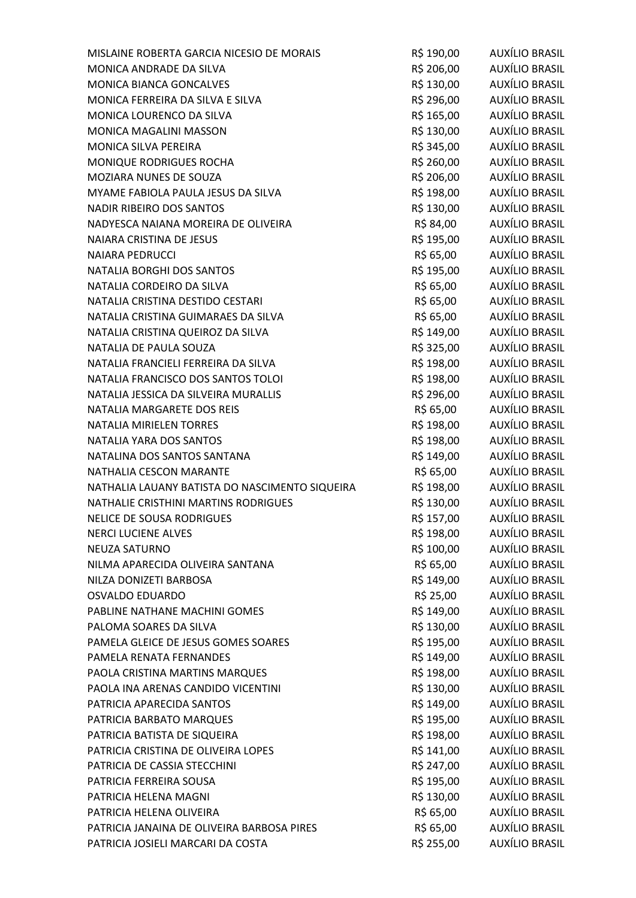| MISLAINE ROBERTA GARCIA NICESIO DE MORAIS      | R\$ 190,00 | <b>AUXÍLIO BRASIL</b> |
|------------------------------------------------|------------|-----------------------|
| MONICA ANDRADE DA SILVA                        | R\$ 206,00 | AUXÍLIO BRASIL        |
| MONICA BIANCA GONCALVES                        | R\$ 130,00 | AUXÍLIO BRASIL        |
| MONICA FERREIRA DA SILVA E SILVA               | R\$ 296,00 | <b>AUXÍLIO BRASIL</b> |
| MONICA LOURENCO DA SILVA                       | R\$ 165,00 | <b>AUXÍLIO BRASIL</b> |
| MONICA MAGALINI MASSON                         | R\$ 130,00 | <b>AUXÍLIO BRASIL</b> |
| MONICA SILVA PEREIRA                           | R\$ 345,00 | AUXÍLIO BRASIL        |
| MONIQUE RODRIGUES ROCHA                        | R\$ 260,00 | AUXÍLIO BRASIL        |
| MOZIARA NUNES DE SOUZA                         | R\$ 206,00 | <b>AUXÍLIO BRASIL</b> |
| MYAME FABIOLA PAULA JESUS DA SILVA             | R\$ 198,00 | AUXÍLIO BRASIL        |
| <b>NADIR RIBEIRO DOS SANTOS</b>                | R\$ 130,00 | <b>AUXÍLIO BRASIL</b> |
| NADYESCA NAIANA MOREIRA DE OLIVEIRA            | R\$ 84,00  | <b>AUXÍLIO BRASIL</b> |
| NAIARA CRISTINA DE JESUS                       | R\$ 195,00 | <b>AUXÍLIO BRASIL</b> |
| <b>NAIARA PEDRUCCI</b>                         | R\$ 65,00  | AUXÍLIO BRASIL        |
| NATALIA BORGHI DOS SANTOS                      | R\$ 195,00 | <b>AUXÍLIO BRASIL</b> |
| NATALIA CORDEIRO DA SILVA                      | R\$ 65,00  | <b>AUXÍLIO BRASIL</b> |
| NATALIA CRISTINA DESTIDO CESTARI               | R\$ 65,00  | <b>AUXÍLIO BRASIL</b> |
| NATALIA CRISTINA GUIMARAES DA SILVA            | R\$ 65,00  | <b>AUXÍLIO BRASIL</b> |
| NATALIA CRISTINA QUEIROZ DA SILVA              | R\$ 149,00 | <b>AUXÍLIO BRASIL</b> |
| NATALIA DE PAULA SOUZA                         | R\$ 325,00 | <b>AUXÍLIO BRASIL</b> |
| NATALIA FRANCIELI FERREIRA DA SILVA            | R\$ 198,00 | AUXÍLIO BRASIL        |
| NATALIA FRANCISCO DOS SANTOS TOLOI             | R\$ 198,00 | <b>AUXÍLIO BRASIL</b> |
| NATALIA JESSICA DA SILVEIRA MURALLIS           | R\$ 296,00 | <b>AUXÍLIO BRASIL</b> |
| NATALIA MARGARETE DOS REIS                     | R\$ 65,00  | <b>AUXÍLIO BRASIL</b> |
| NATALIA MIRIELEN TORRES                        | R\$ 198,00 | <b>AUXÍLIO BRASIL</b> |
| NATALIA YARA DOS SANTOS                        | R\$ 198,00 | AUXÍLIO BRASIL        |
| NATALINA DOS SANTOS SANTANA                    | R\$ 149,00 | AUXÍLIO BRASIL        |
| NATHALIA CESCON MARANTE                        | R\$ 65,00  | <b>AUXÍLIO BRASIL</b> |
| NATHALIA LAUANY BATISTA DO NASCIMENTO SIQUEIRA | R\$ 198,00 | AUXÍLIO BRASIL        |
| NATHALIE CRISTHINI MARTINS RODRIGUES           | R\$ 130,00 | <b>AUXÍLIO BRASIL</b> |
| <b>NELICE DE SOUSA RODRIGUES</b>               | R\$ 157,00 | <b>AUXÍLIO BRASIL</b> |
| <b>NERCI LUCIENE ALVES</b>                     | R\$ 198,00 | <b>AUXÍLIO BRASIL</b> |
| <b>NEUZA SATURNO</b>                           | R\$ 100,00 | <b>AUXÍLIO BRASIL</b> |
| NILMA APARECIDA OLIVEIRA SANTANA               | R\$ 65,00  | AUXÍLIO BRASIL        |
| NILZA DONIZETI BARBOSA                         | R\$ 149,00 | <b>AUXÍLIO BRASIL</b> |
| <b>OSVALDO EDUARDO</b>                         | R\$ 25,00  | <b>AUXÍLIO BRASIL</b> |
| PABLINE NATHANE MACHINI GOMES                  | R\$ 149,00 | <b>AUXÍLIO BRASIL</b> |
| PALOMA SOARES DA SILVA                         | R\$ 130,00 | <b>AUXÍLIO BRASIL</b> |
| PAMELA GLEICE DE JESUS GOMES SOARES            | R\$ 195,00 | <b>AUXÍLIO BRASIL</b> |
| PAMELA RENATA FERNANDES                        | R\$ 149,00 | <b>AUXÍLIO BRASIL</b> |
| PAOLA CRISTINA MARTINS MARQUES                 | R\$ 198,00 | AUXÍLIO BRASIL        |
| PAOLA INA ARENAS CANDIDO VICENTINI             | R\$ 130,00 | <b>AUXÍLIO BRASIL</b> |
| PATRICIA APARECIDA SANTOS                      | R\$ 149,00 | <b>AUXÍLIO BRASIL</b> |
| PATRICIA BARBATO MARQUES                       | R\$ 195,00 | <b>AUXÍLIO BRASIL</b> |
| PATRICIA BATISTA DE SIQUEIRA                   | R\$ 198,00 | <b>AUXÍLIO BRASIL</b> |
| PATRICIA CRISTINA DE OLIVEIRA LOPES            | R\$ 141,00 | <b>AUXÍLIO BRASIL</b> |
| PATRICIA DE CASSIA STECCHINI                   | R\$ 247,00 | <b>AUXÍLIO BRASIL</b> |
| PATRICIA FERREIRA SOUSA                        | R\$ 195,00 | AUXÍLIO BRASIL        |
| PATRICIA HELENA MAGNI                          | R\$ 130,00 | <b>AUXÍLIO BRASIL</b> |
| PATRICIA HELENA OLIVEIRA                       | R\$ 65,00  | <b>AUXÍLIO BRASIL</b> |
| PATRICIA JANAINA DE OLIVEIRA BARBOSA PIRES     | R\$ 65,00  | <b>AUXÍLIO BRASIL</b> |
| PATRICIA JOSIELI MARCARI DA COSTA              | R\$ 255,00 | <b>AUXÍLIO BRASIL</b> |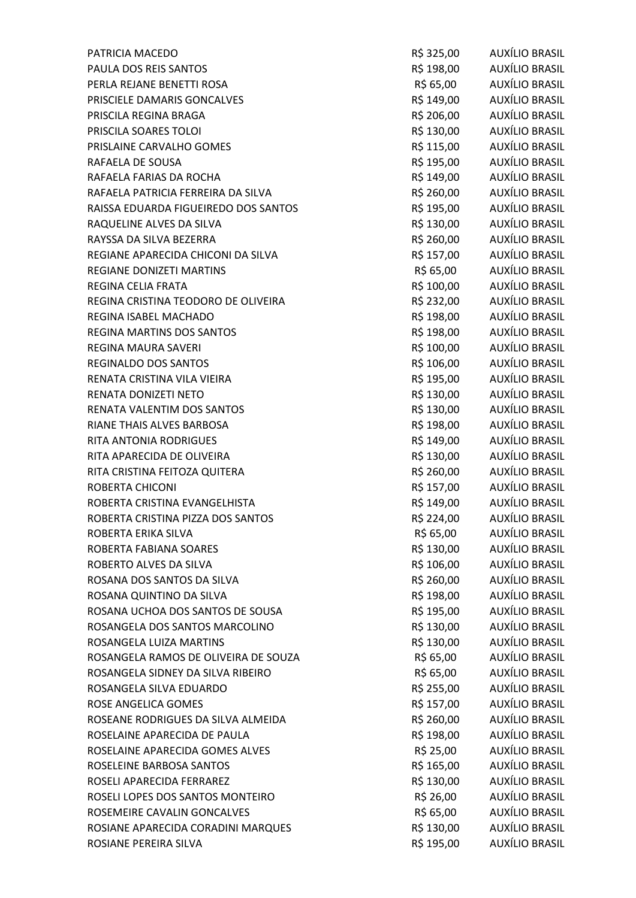| PATRICIA MACEDO                      | R\$ 325,00 | AUXÍLIO BRASIL        |
|--------------------------------------|------------|-----------------------|
| PAULA DOS REIS SANTOS                | R\$ 198,00 | AUXÍLIO BRASIL        |
| PERLA REJANE BENETTI ROSA            | R\$ 65,00  | AUXÍLIO BRASIL        |
| PRISCIELE DAMARIS GONCALVES          | R\$ 149,00 | <b>AUXÍLIO BRASIL</b> |
| PRISCILA REGINA BRAGA                | R\$ 206,00 | <b>AUXÍLIO BRASIL</b> |
| PRISCILA SOARES TOLOI                | R\$ 130,00 | AUXÍLIO BRASIL        |
| PRISLAINE CARVALHO GOMES             | R\$ 115,00 | AUXÍLIO BRASIL        |
| RAFAELA DE SOUSA                     | R\$ 195,00 | AUXÍLIO BRASIL        |
| RAFAELA FARIAS DA ROCHA              | R\$ 149,00 | <b>AUXÍLIO BRASIL</b> |
| RAFAELA PATRICIA FERREIRA DA SILVA   | R\$ 260,00 | <b>AUXÍLIO BRASIL</b> |
| RAISSA EDUARDA FIGUEIREDO DOS SANTOS | R\$ 195,00 | AUXÍLIO BRASIL        |
| RAQUELINE ALVES DA SILVA             | R\$ 130,00 | AUXÍLIO BRASIL        |
| RAYSSA DA SILVA BEZERRA              | R\$ 260,00 | AUXÍLIO BRASIL        |
| REGIANE APARECIDA CHICONI DA SILVA   | R\$ 157,00 | <b>AUXÍLIO BRASIL</b> |
| REGIANE DONIZETI MARTINS             | R\$ 65,00  | AUXÍLIO BRASIL        |
| REGINA CELIA FRATA                   | R\$ 100,00 | AUXÍLIO BRASIL        |
| REGINA CRISTINA TEODORO DE OLIVEIRA  | R\$ 232,00 | AUXÍLIO BRASIL        |
| <b>REGINA ISABEL MACHADO</b>         | R\$ 198,00 | <b>AUXÍLIO BRASIL</b> |
| REGINA MARTINS DOS SANTOS            | R\$ 198,00 | <b>AUXÍLIO BRASIL</b> |
| <b>REGINA MAURA SAVERI</b>           | R\$ 100,00 | AUXÍLIO BRASIL        |
| REGINALDO DOS SANTOS                 | R\$ 106,00 | AUXÍLIO BRASIL        |
| RENATA CRISTINA VILA VIEIRA          | R\$ 195,00 | AUXÍLIO BRASIL        |
| RENATA DONIZETI NETO                 | R\$ 130,00 | <b>AUXÍLIO BRASIL</b> |
| RENATA VALENTIM DOS SANTOS           | R\$ 130,00 | <b>AUXÍLIO BRASIL</b> |
| RIANE THAIS ALVES BARBOSA            | R\$ 198,00 | AUXÍLIO BRASIL        |
| RITA ANTONIA RODRIGUES               | R\$ 149,00 | AUXÍLIO BRASIL        |
| RITA APARECIDA DE OLIVEIRA           | R\$ 130,00 | AUXÍLIO BRASIL        |
| RITA CRISTINA FEITOZA QUITERA        | R\$ 260,00 | <b>AUXÍLIO BRASIL</b> |
| ROBERTA CHICONI                      | R\$ 157,00 | AUXÍLIO BRASIL        |
| ROBERTA CRISTINA EVANGELHISTA        | R\$ 149,00 | AUXÍLIO BRASIL        |
| ROBERTA CRISTINA PIZZA DOS SANTOS    | R\$ 224,00 | <b>AUXÍLIO BRASIL</b> |
| ROBERTA ERIKA SILVA                  | R\$ 65,00  | <b>AUXÍLIO BRASIL</b> |
| ROBERTA FABIANA SOARES               | R\$ 130,00 | <b>AUXÍLIO BRASIL</b> |
| ROBERTO ALVES DA SILVA               | R\$ 106,00 | AUXÍLIO BRASIL        |
| ROSANA DOS SANTOS DA SILVA           | R\$ 260,00 | <b>AUXÍLIO BRASIL</b> |
| ROSANA QUINTINO DA SILVA             | R\$ 198,00 | <b>AUXÍLIO BRASIL</b> |
| ROSANA UCHOA DOS SANTOS DE SOUSA     | R\$ 195,00 | AUXÍLIO BRASIL        |
| ROSANGELA DOS SANTOS MARCOLINO       | R\$ 130,00 | AUXÍLIO BRASIL        |
| ROSANGELA LUIZA MARTINS              | R\$ 130,00 | <b>AUXÍLIO BRASIL</b> |
| ROSANGELA RAMOS DE OLIVEIRA DE SOUZA | R\$ 65,00  | <b>AUXÍLIO BRASIL</b> |
| ROSANGELA SIDNEY DA SILVA RIBEIRO    | R\$ 65,00  | <b>AUXÍLIO BRASIL</b> |
| ROSANGELA SILVA EDUARDO              | R\$ 255,00 | <b>AUXÍLIO BRASIL</b> |
| ROSE ANGELICA GOMES                  | R\$ 157,00 | <b>AUXÍLIO BRASIL</b> |
| ROSEANE RODRIGUES DA SILVA ALMEIDA   | R\$ 260,00 | <b>AUXÍLIO BRASIL</b> |
| ROSELAINE APARECIDA DE PAULA         | R\$ 198,00 | <b>AUXÍLIO BRASIL</b> |
| ROSELAINE APARECIDA GOMES ALVES      | R\$ 25,00  | <b>AUXÍLIO BRASIL</b> |
| ROSELEINE BARBOSA SANTOS             | R\$ 165,00 | <b>AUXÍLIO BRASIL</b> |
| ROSELI APARECIDA FERRAREZ            | R\$ 130,00 | AUXÍLIO BRASIL        |
| ROSELI LOPES DOS SANTOS MONTEIRO     | R\$ 26,00  | <b>AUXÍLIO BRASIL</b> |
| ROSEMEIRE CAVALIN GONCALVES          | R\$ 65,00  | <b>AUXÍLIO BRASIL</b> |
| ROSIANE APARECIDA CORADINI MARQUES   | R\$ 130,00 | <b>AUXÍLIO BRASIL</b> |
| ROSIANE PEREIRA SILVA                | R\$ 195,00 | <b>AUXÍLIO BRASIL</b> |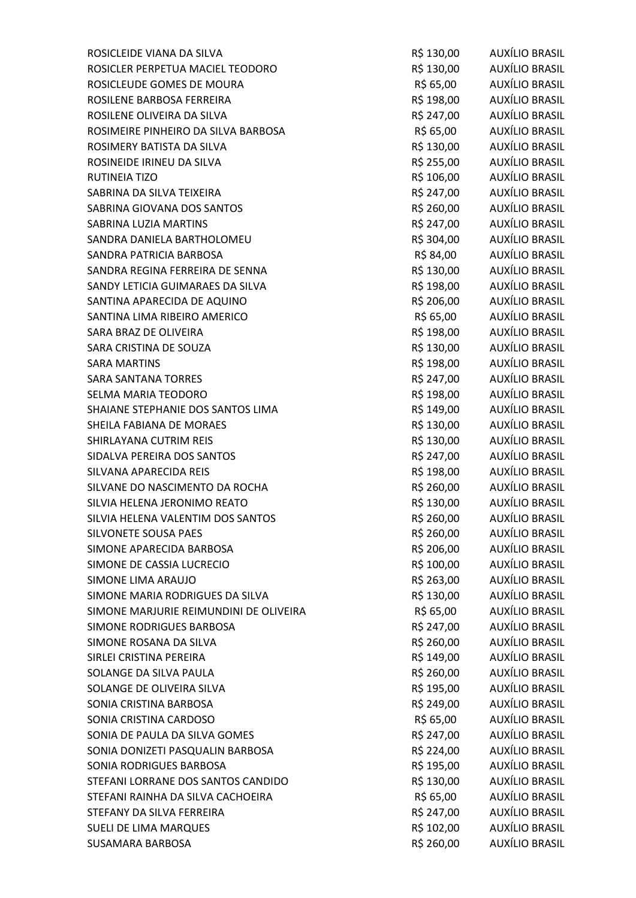| ROSICLEIDE VIANA DA SILVA              | R\$ 130,00 | <b>AUXÍLIO BRASIL</b> |
|----------------------------------------|------------|-----------------------|
| ROSICLER PERPETUA MACIEL TEODORO       | R\$ 130,00 | AUXÍLIO BRASIL        |
| ROSICLEUDE GOMES DE MOURA              | R\$ 65,00  | AUXÍLIO BRASIL        |
| ROSILENE BARBOSA FERREIRA              | R\$ 198,00 | <b>AUXÍLIO BRASIL</b> |
| ROSILENE OLIVEIRA DA SILVA             | R\$ 247,00 | <b>AUXÍLIO BRASIL</b> |
| ROSIMEIRE PINHEIRO DA SILVA BARBOSA    | R\$ 65,00  | AUXÍLIO BRASIL        |
| ROSIMERY BATISTA DA SILVA              | R\$ 130,00 | AUXÍLIO BRASIL        |
| ROSINEIDE IRINEU DA SILVA              | R\$ 255,00 | <b>AUXÍLIO BRASIL</b> |
| RUTINEIA TIZO                          | R\$ 106,00 | <b>AUXÍLIO BRASIL</b> |
| SABRINA DA SILVA TEIXEIRA              | R\$ 247,00 | AUXÍLIO BRASIL        |
| SABRINA GIOVANA DOS SANTOS             | R\$ 260,00 | <b>AUXÍLIO BRASIL</b> |
| SABRINA LUZIA MARTINS                  | R\$ 247,00 | <b>AUXÍLIO BRASIL</b> |
| SANDRA DANIELA BARTHOLOMEU             | R\$ 304,00 | AUXÍLIO BRASIL        |
| SANDRA PATRICIA BARBOSA                | R\$ 84,00  | AUXÍLIO BRASIL        |
| SANDRA REGINA FERREIRA DE SENNA        | R\$ 130,00 | AUXÍLIO BRASIL        |
| SANDY LETICIA GUIMARAES DA SILVA       | R\$ 198,00 | <b>AUXÍLIO BRASIL</b> |
| SANTINA APARECIDA DE AQUINO            | R\$ 206,00 | <b>AUXÍLIO BRASIL</b> |
| SANTINA LIMA RIBEIRO AMERICO           | R\$ 65,00  | <b>AUXÍLIO BRASIL</b> |
| SARA BRAZ DE OLIVEIRA                  | R\$ 198,00 | <b>AUXÍLIO BRASIL</b> |
| SARA CRISTINA DE SOUZA                 | R\$ 130,00 | <b>AUXÍLIO BRASIL</b> |
| <b>SARA MARTINS</b>                    | R\$ 198,00 | AUXÍLIO BRASIL        |
| <b>SARA SANTANA TORRES</b>             | R\$ 247,00 | AUXÍLIO BRASIL        |
| SELMA MARIA TEODORO                    | R\$ 198,00 | <b>AUXÍLIO BRASIL</b> |
| SHAIANE STEPHANIE DOS SANTOS LIMA      | R\$ 149,00 | <b>AUXÍLIO BRASIL</b> |
| SHEILA FABIANA DE MORAES               | R\$ 130,00 | AUXÍLIO BRASIL        |
| SHIRLAYANA CUTRIM REIS                 | R\$ 130,00 | AUXÍLIO BRASIL        |
| SIDALVA PEREIRA DOS SANTOS             | R\$ 247,00 | AUXÍLIO BRASIL        |
| SILVANA APARECIDA REIS                 | R\$ 198,00 | <b>AUXÍLIO BRASIL</b> |
| SILVANE DO NASCIMENTO DA ROCHA         | R\$ 260,00 | AUXÍLIO BRASIL        |
| SILVIA HELENA JERONIMO REATO           | R\$ 130,00 | AUXÍLIO BRASIL        |
| SILVIA HELENA VALENTIM DOS SANTOS      | R\$ 260,00 | <b>AUXÍLIO BRASIL</b> |
| SILVONETE SOUSA PAES                   | R\$ 260,00 | <b>AUXÍLIO BRASIL</b> |
| SIMONE APARECIDA BARBOSA               | R\$ 206,00 | AUXÍLIO BRASIL        |
| SIMONE DE CASSIA LUCRECIO              | R\$ 100,00 | AUXÍLIO BRASIL        |
| SIMONE LIMA ARAUJO                     | R\$ 263,00 | <b>AUXÍLIO BRASIL</b> |
| SIMONE MARIA RODRIGUES DA SILVA        | R\$ 130,00 | <b>AUXÍLIO BRASIL</b> |
| SIMONE MARJURIE REIMUNDINI DE OLIVEIRA | R\$ 65,00  | <b>AUXÍLIO BRASIL</b> |
| SIMONE RODRIGUES BARBOSA               | R\$ 247,00 | <b>AUXÍLIO BRASIL</b> |
| SIMONE ROSANA DA SILVA                 | R\$ 260,00 | <b>AUXÍLIO BRASIL</b> |
| SIRLEI CRISTINA PEREIRA                | R\$ 149,00 | <b>AUXÍLIO BRASIL</b> |
| SOLANGE DA SILVA PAULA                 | R\$ 260,00 | AUXÍLIO BRASIL        |
| SOLANGE DE OLIVEIRA SILVA              | R\$ 195,00 | <b>AUXÍLIO BRASIL</b> |
| SONIA CRISTINA BARBOSA                 | R\$ 249,00 | <b>AUXÍLIO BRASIL</b> |
| SONIA CRISTINA CARDOSO                 | R\$ 65,00  | <b>AUXÍLIO BRASIL</b> |
| SONIA DE PAULA DA SILVA GOMES          | R\$ 247,00 | <b>AUXÍLIO BRASIL</b> |
| SONIA DONIZETI PASQUALIN BARBOSA       | R\$ 224,00 | <b>AUXÍLIO BRASIL</b> |
| SONIA RODRIGUES BARBOSA                | R\$ 195,00 | <b>AUXÍLIO BRASIL</b> |
| STEFANI LORRANE DOS SANTOS CANDIDO     | R\$ 130,00 | <b>AUXÍLIO BRASIL</b> |
| STEFANI RAINHA DA SILVA CACHOEIRA      | R\$ 65,00  | <b>AUXÍLIO BRASIL</b> |
| STEFANY DA SILVA FERREIRA              | R\$ 247,00 | <b>AUXÍLIO BRASIL</b> |
| SUELI DE LIMA MARQUES                  | R\$ 102,00 | <b>AUXÍLIO BRASIL</b> |
| SUSAMARA BARBOSA                       | R\$ 260,00 | AUXÍLIO BRASIL        |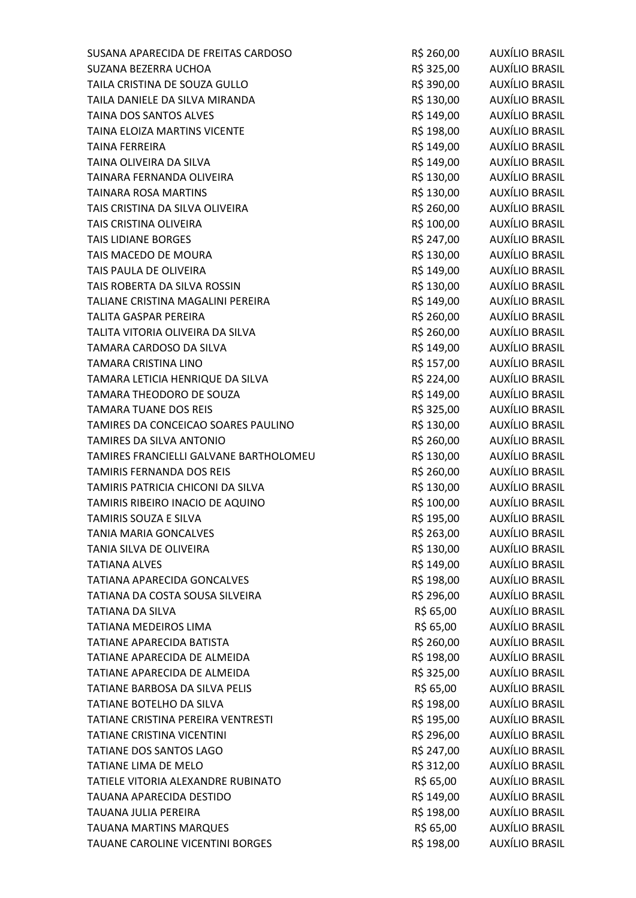| SUSANA APARECIDA DE FREITAS CARDOSO    | R\$ 260,00 | AUXÍLIO BRASIL        |
|----------------------------------------|------------|-----------------------|
| SUZANA BEZERRA UCHOA                   | R\$ 325,00 | AUXÍLIO BRASIL        |
| TAILA CRISTINA DE SOUZA GULLO          | R\$ 390,00 | AUXÍLIO BRASIL        |
| TAILA DANIELE DA SILVA MIRANDA         | R\$ 130,00 | AUXÍLIO BRASIL        |
| TAINA DOS SANTOS ALVES                 | R\$ 149,00 | <b>AUXÍLIO BRASIL</b> |
| TAINA ELOIZA MARTINS VICENTE           | R\$ 198,00 | AUXÍLIO BRASIL        |
| <b>TAINA FERREIRA</b>                  | R\$ 149,00 | AUXÍLIO BRASIL        |
| TAINA OLIVEIRA DA SILVA                | R\$ 149,00 | AUXÍLIO BRASIL        |
| TAINARA FERNANDA OLIVEIRA              | R\$ 130,00 | <b>AUXÍLIO BRASIL</b> |
| <b>TAINARA ROSA MARTINS</b>            | R\$ 130,00 | AUXÍLIO BRASIL        |
| TAIS CRISTINA DA SILVA OLIVEIRA        | R\$ 260,00 | AUXÍLIO BRASIL        |
| TAIS CRISTINA OLIVEIRA                 | R\$ 100,00 | AUXÍLIO BRASIL        |
| <b>TAIS LIDIANE BORGES</b>             | R\$ 247,00 | AUXÍLIO BRASIL        |
| TAIS MACEDO DE MOURA                   | R\$ 130,00 | AUXÍLIO BRASIL        |
| TAIS PAULA DE OLIVEIRA                 | R\$ 149,00 | AUXÍLIO BRASIL        |
| TAIS ROBERTA DA SILVA ROSSIN           | R\$ 130,00 | <b>AUXÍLIO BRASIL</b> |
| TALIANE CRISTINA MAGALINI PEREIRA      | R\$ 149,00 | AUXÍLIO BRASIL        |
| <b>TALITA GASPAR PEREIRA</b>           | R\$ 260,00 | <b>AUXÍLIO BRASIL</b> |
| TALITA VITORIA OLIVEIRA DA SILVA       | R\$ 260,00 | <b>AUXÍLIO BRASIL</b> |
| TAMARA CARDOSO DA SILVA                | R\$ 149,00 | AUXÍLIO BRASIL        |
| TAMARA CRISTINA LINO                   | R\$ 157,00 | AUXÍLIO BRASIL        |
| TAMARA LETICIA HENRIQUE DA SILVA       | R\$ 224,00 | AUXÍLIO BRASIL        |
| TAMARA THEODORO DE SOUZA               | R\$ 149,00 | <b>AUXÍLIO BRASIL</b> |
| <b>TAMARA TUANE DOS REIS</b>           | R\$ 325,00 | <b>AUXÍLIO BRASIL</b> |
| TAMIRES DA CONCEICAO SOARES PAULINO    | R\$ 130,00 | AUXÍLIO BRASIL        |
| TAMIRES DA SILVA ANTONIO               | R\$ 260,00 | AUXÍLIO BRASIL        |
| TAMIRES FRANCIELLI GALVANE BARTHOLOMEU | R\$ 130,00 | AUXÍLIO BRASIL        |
| <b>TAMIRIS FERNANDA DOS REIS</b>       | R\$ 260,00 | <b>AUXÍLIO BRASIL</b> |
| TAMIRIS PATRICIA CHICONI DA SILVA      | R\$ 130,00 | AUXÍLIO BRASIL        |
| TAMIRIS RIBEIRO INACIO DE AQUINO       | R\$ 100,00 | AUXÍLIO BRASIL        |
| TAMIRIS SOUZA E SILVA                  | R\$ 195,00 | <b>AUXÍLIO BRASIL</b> |
| <b>TANIA MARIA GONCALVES</b>           | R\$ 263,00 | AUXÍLIO BRASIL        |
| TANIA SILVA DE OLIVEIRA                | R\$ 130,00 | <b>AUXÍLIO BRASIL</b> |
| <b>TATIANA ALVES</b>                   | R\$ 149,00 | <b>AUXÍLIO BRASIL</b> |
| TATIANA APARECIDA GONCALVES            | R\$ 198,00 | <b>AUXÍLIO BRASIL</b> |
| TATIANA DA COSTA SOUSA SILVEIRA        | R\$ 296,00 | <b>AUXÍLIO BRASIL</b> |
| <b>TATIANA DA SILVA</b>                | R\$ 65,00  | <b>AUXÍLIO BRASIL</b> |
| <b>TATIANA MEDEIROS LIMA</b>           | R\$ 65,00  | <b>AUXÍLIO BRASIL</b> |
| TATIANE APARECIDA BATISTA              | R\$ 260,00 | <b>AUXÍLIO BRASIL</b> |
| TATIANE APARECIDA DE ALMEIDA           | R\$ 198,00 | AUXÍLIO BRASIL        |
| TATIANE APARECIDA DE ALMEIDA           | R\$ 325,00 | AUXÍLIO BRASIL        |
| TATIANE BARBOSA DA SILVA PELIS         | R\$ 65,00  | <b>AUXÍLIO BRASIL</b> |
| TATIANE BOTELHO DA SILVA               | R\$ 198,00 | AUXÍLIO BRASIL        |
| TATIANE CRISTINA PEREIRA VENTRESTI     | R\$ 195,00 | <b>AUXÍLIO BRASIL</b> |
| TATIANE CRISTINA VICENTINI             | R\$ 296,00 | <b>AUXÍLIO BRASIL</b> |
| <b>TATIANE DOS SANTOS LAGO</b>         | R\$ 247,00 | <b>AUXÍLIO BRASIL</b> |
| TATIANE LIMA DE MELO                   | R\$ 312,00 | <b>AUXÍLIO BRASIL</b> |
| TATIELE VITORIA ALEXANDRE RUBINATO     | R\$ 65,00  | AUXÍLIO BRASIL        |
| TAUANA APARECIDA DESTIDO               | R\$ 149,00 | <b>AUXÍLIO BRASIL</b> |
| TAUANA JULIA PEREIRA                   | R\$ 198,00 | <b>AUXÍLIO BRASIL</b> |
| <b>TAUANA MARTINS MARQUES</b>          | R\$ 65,00  | AUXÍLIO BRASIL        |
| TAUANE CAROLINE VICENTINI BORGES       | R\$ 198,00 | <b>AUXÍLIO BRASIL</b> |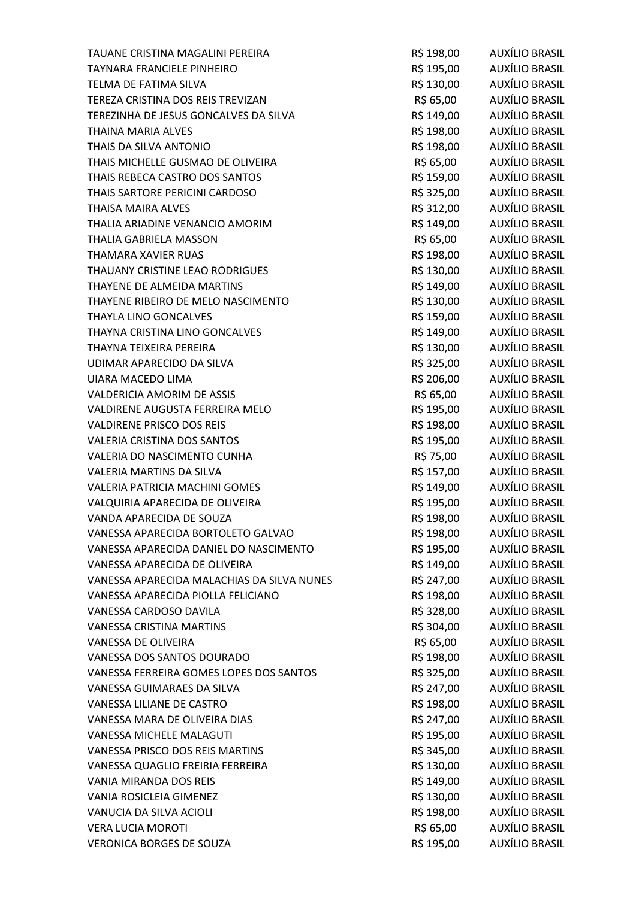| TAUANE CRISTINA MAGALINI PEREIRA           | R\$ 198,00 | AUXÍLIO BRASIL        |
|--------------------------------------------|------------|-----------------------|
| TAYNARA FRANCIELE PINHEIRO                 | R\$ 195,00 | <b>AUXÍLIO BRASIL</b> |
| TELMA DE FATIMA SILVA                      | R\$ 130,00 | AUXÍLIO BRASIL        |
| TEREZA CRISTINA DOS REIS TREVIZAN          | R\$ 65,00  | <b>AUXÍLIO BRASIL</b> |
| TEREZINHA DE JESUS GONCALVES DA SILVA      | R\$ 149,00 | <b>AUXÍLIO BRASIL</b> |
| THAINA MARIA ALVES                         | R\$ 198,00 | AUXÍLIO BRASIL        |
| THAIS DA SILVA ANTONIO                     | R\$ 198,00 | AUXÍLIO BRASIL        |
| THAIS MICHELLE GUSMAO DE OLIVEIRA          | R\$ 65,00  | AUXÍLIO BRASIL        |
| THAIS REBECA CASTRO DOS SANTOS             | R\$ 159,00 | <b>AUXÍLIO BRASIL</b> |
| THAIS SARTORE PERICINI CARDOSO             | R\$ 325,00 | <b>AUXÍLIO BRASIL</b> |
| <b>THAISA MAIRA ALVES</b>                  | R\$ 312,00 | AUXÍLIO BRASIL        |
| THALIA ARIADINE VENANCIO AMORIM            | R\$ 149,00 | AUXÍLIO BRASIL        |
| THALIA GABRIELA MASSON                     | R\$ 65,00  | AUXÍLIO BRASIL        |
| THAMARA XAVIER RUAS                        | R\$ 198,00 | <b>AUXÍLIO BRASIL</b> |
| THAUANY CRISTINE LEAO RODRIGUES            | R\$ 130,00 | AUXÍLIO BRASIL        |
| THAYENE DE ALMEIDA MARTINS                 | R\$ 149,00 | AUXÍLIO BRASIL        |
| THAYENE RIBEIRO DE MELO NASCIMENTO         | R\$ 130,00 | <b>AUXÍLIO BRASIL</b> |
| THAYLA LINO GONCALVES                      | R\$ 159,00 | <b>AUXÍLIO BRASIL</b> |
| THAYNA CRISTINA LINO GONCALVES             | R\$ 149,00 | <b>AUXÍLIO BRASIL</b> |
| THAYNA TEIXEIRA PEREIRA                    | R\$ 130,00 | AUXÍLIO BRASIL        |
| UDIMAR APARECIDO DA SILVA                  | R\$ 325,00 | AUXÍLIO BRASIL        |
| UIARA MACEDO LIMA                          | R\$ 206,00 | <b>AUXÍLIO BRASIL</b> |
| VALDERICIA AMORIM DE ASSIS                 | R\$ 65,00  | <b>AUXÍLIO BRASIL</b> |
| VALDIRENE AUGUSTA FERREIRA MELO            | R\$ 195,00 | <b>AUXÍLIO BRASIL</b> |
| <b>VALDIRENE PRISCO DOS REIS</b>           | R\$ 198,00 | AUXÍLIO BRASIL        |
| <b>VALERIA CRISTINA DOS SANTOS</b>         | R\$ 195,00 | <b>AUXÍLIO BRASIL</b> |
| VALERIA DO NASCIMENTO CUNHA                | R\$ 75,00  | AUXÍLIO BRASIL        |
| <b>VALERIA MARTINS DA SILVA</b>            | R\$ 157,00 | <b>AUXÍLIO BRASIL</b> |
| VALERIA PATRICIA MACHINI GOMES             | R\$ 149,00 | AUXÍLIO BRASIL        |
| VALQUIRIA APARECIDA DE OLIVEIRA            | R\$ 195,00 | AUXÍLIO BRASIL        |
| VANDA APARECIDA DE SOUZA                   | R\$ 198,00 | <b>AUXÍLIO BRASIL</b> |
| VANESSA APARECIDA BORTOLETO GALVAO         | R\$ 198,00 | AUXÍLIO BRASIL        |
| VANESSA APARECIDA DANIEL DO NASCIMENTO     | R\$ 195,00 | <b>AUXÍLIO BRASIL</b> |
| VANESSA APARECIDA DE OLIVEIRA              | R\$ 149,00 | AUXÍLIO BRASIL        |
| VANESSA APARECIDA MALACHIAS DA SILVA NUNES | R\$ 247,00 | <b>AUXÍLIO BRASIL</b> |
| VANESSA APARECIDA PIOLLA FELICIANO         | R\$ 198,00 | <b>AUXÍLIO BRASIL</b> |
| VANESSA CARDOSO DAVILA                     | R\$ 328,00 | <b>AUXÍLIO BRASIL</b> |
| <b>VANESSA CRISTINA MARTINS</b>            | R\$ 304,00 | <b>AUXÍLIO BRASIL</b> |
| VANESSA DE OLIVEIRA                        | R\$ 65,00  | AUXÍLIO BRASIL        |
| VANESSA DOS SANTOS DOURADO                 | R\$ 198,00 | <b>AUXÍLIO BRASIL</b> |
| VANESSA FERREIRA GOMES LOPES DOS SANTOS    | R\$ 325,00 | <b>AUXÍLIO BRASIL</b> |
| VANESSA GUIMARAES DA SILVA                 | R\$ 247,00 | <b>AUXÍLIO BRASIL</b> |
| VANESSA LILIANE DE CASTRO                  | R\$ 198,00 | <b>AUXÍLIO BRASIL</b> |
| VANESSA MARA DE OLIVEIRA DIAS              | R\$ 247,00 | <b>AUXÍLIO BRASIL</b> |
| <b>VANESSA MICHELE MALAGUTI</b>            | R\$ 195,00 | <b>AUXÍLIO BRASIL</b> |
| VANESSA PRISCO DOS REIS MARTINS            | R\$ 345,00 | <b>AUXÍLIO BRASIL</b> |
| VANESSA QUAGLIO FREIRIA FERREIRA           | R\$ 130,00 | <b>AUXÍLIO BRASIL</b> |
| VANIA MIRANDA DOS REIS                     | R\$ 149,00 | AUXÍLIO BRASIL        |
| VANIA ROSICLEIA GIMENEZ                    | R\$ 130,00 | <b>AUXÍLIO BRASIL</b> |
| VANUCIA DA SILVA ACIOLI                    | R\$ 198,00 | <b>AUXÍLIO BRASIL</b> |
| <b>VERA LUCIA MOROTI</b>                   | R\$ 65,00  | <b>AUXÍLIO BRASIL</b> |
| <b>VERONICA BORGES DE SOUZA</b>            | R\$ 195,00 | <b>AUXÍLIO BRASIL</b> |